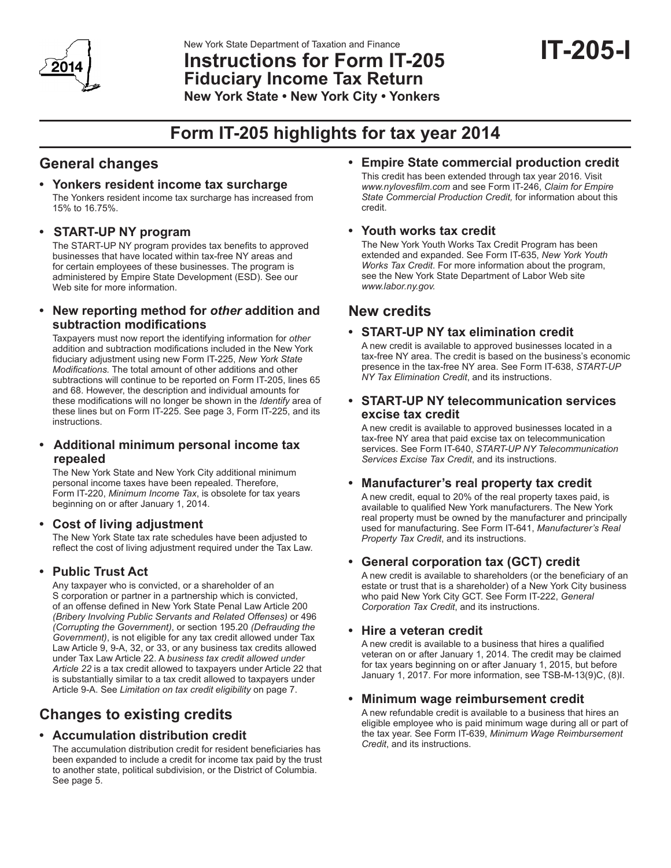

New York State Department of Taxation and Finance

**Instructions for Form IT-205**

**Fiduciary Income Tax Return**

**New York State • New York City • Yonkers** 

# **Form IT-205 highlights for tax year 2014**

# **General changes**

15% to 16.75%.

**• Yonkers resident income tax surcharge** The Yonkers resident income tax surcharge has increased from

# **• START-UP NY program**

 The START-UP NY program provides tax benefits to approved businesses that have located within tax-free NY areas and for certain employees of these businesses. The program is administered by Empire State Development (ESD). See our Web site for more information.

# **• New reporting method for** *other* **addition and subtraction modifications**

Taxpayers must now report the identifying information for *other* addition and subtraction modifications included in the New York fiduciary adjustment using new Form IT-225, *New York State Modifications.* The total amount of other additions and other subtractions will continue to be reported on Form IT-205, lines 65 and 68. However, the description and individual amounts for these modifications will no longer be shown in the *Identify* area of these lines but on Form IT-225. See page 3, Form IT-225, and its instructions.

# **• Additional minimum personal income tax repealed**

The New York State and New York City additional minimum personal income taxes have been repealed. Therefore, Form IT-220, *Minimum Income Tax*, is obsolete for tax years beginning on or after January 1, 2014.

# **• Cost of living adjustment**

 The New York State tax rate schedules have been adjusted to reflect the cost of living adjustment required under the Tax Law.

# **• Public Trust Act**

 Any taxpayer who is convicted, or a shareholder of an S corporation or partner in a partnership which is convicted, of an offense defined in New York State Penal Law Article 200 *(Bribery Involving Public Servants and Related Offenses)* or 496 *(Corrupting the Government)*, or section 195.20 *(Defrauding the Government)*, is not eligible for any tax credit allowed under Tax Law Article 9, 9-A, 32, or 33, or any business tax credits allowed under Tax Law Article 22. A *business tax credit allowed under Article 22* is a tax credit allowed to taxpayers under Article 22 that is substantially similar to a tax credit allowed to taxpayers under Article 9-A. See *Limitation on tax credit eligibility* on page 7.

# **Changes to existing credits**

# **• Accumulation distribution credit**

 The accumulation distribution credit for resident beneficiaries has been expanded to include a credit for income tax paid by the trust to another state, political subdivision, or the District of Columbia. See page 5.

**• Empire State commercial production credit** This credit has been extended through tax year 2016. Visit *www.nylovesfilm.com* and see Form IT-246, *Claim for Empire State Commercial Production Credit,* for information about this

# **• Youth works tax credit**

The New York Youth Works Tax Credit Program has been extended and expanded. See Form IT-635, *New York Youth Works Tax Credit*. For more information about the program, see the New York State Department of Labor Web site *www.labor.ny.gov.*

# **New credits**

credit.

# **• START-UP NY tax elimination credit**

A new credit is available to approved businesses located in a tax-free NY area. The credit is based on the business's economic presence in the tax-free NY area. See Form IT-638, *START-UP NY Tax Elimination Credit*, and its instructions.

# **• START-UP NY telecommunication services excise tax credit**

A new credit is available to approved businesses located in a tax-free NY area that paid excise tax on telecommunication services. See Form IT-640, *START-UP NY Telecommunication Services Excise Tax Credit*, and its instructions.

# **• Manufacturer's real property tax credit**

 A new credit, equal to 20% of the real property taxes paid, is available to qualified New York manufacturers. The New York real property must be owned by the manufacturer and principally used for manufacturing. See Form IT-641, *Manufacturer's Real Property Tax Credit*, and its instructions.

# **• General corporation tax (GCT) credit**

 A new credit is available to shareholders (or the beneficiary of an estate or trust that is a shareholder) of a New York City business who paid New York City GCT. See Form IT-222, *General Corporation Tax Credit*, and its instructions.

# **• Hire a veteran credit**

 A new credit is available to a business that hires a qualified veteran on or after January 1, 2014. The credit may be claimed for tax years beginning on or after January 1, 2015, but before January 1, 2017. For more information, see TSB-M-13(9)C, (8)I.

# **• Minimum wage reimbursement credit**

A new refundable credit is available to a business that hires an eligible employee who is paid minimum wage during all or part of the tax year. See Form IT-639, *Minimum Wage Reimbursement Credit*, and its instructions.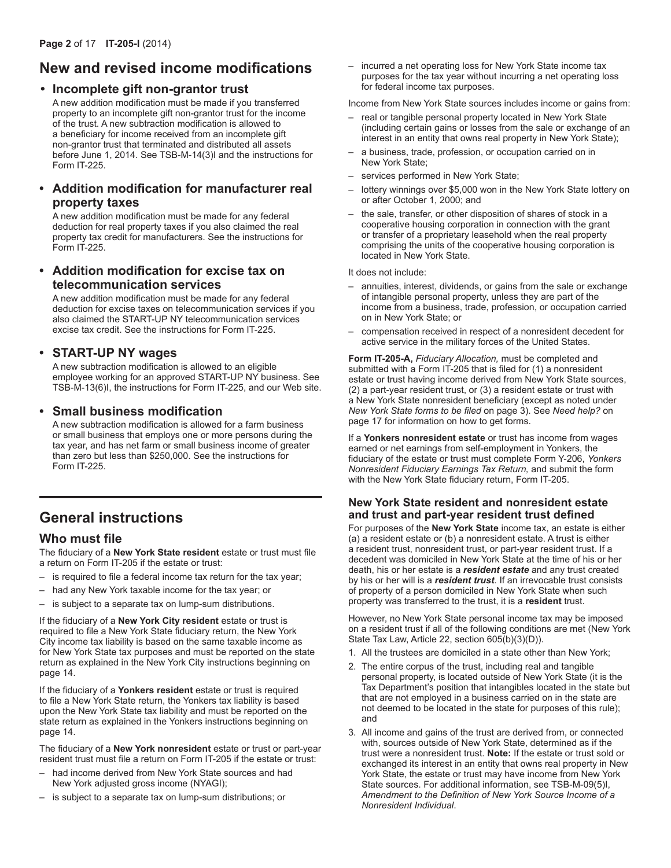# **New and revised income modifications**

# **• Incomplete gift non-grantor trust**

 A new addition modification must be made if you transferred property to an incomplete gift non-grantor trust for the income of the trust. A new subtraction modification is allowed to a beneficiary for income received from an incomplete gift non-grantor trust that terminated and distributed all assets before June 1, 2014. See TSB-M-14(3)I and the instructions for Form IT-225.

# **• Addition modification for manufacturer real property taxes**

 A new addition modification must be made for any federal deduction for real property taxes if you also claimed the real property tax credit for manufacturers. See the instructions for Form IT-225.

# **• Addition modification for excise tax on telecommunication services**

 A new addition modification must be made for any federal deduction for excise taxes on telecommunication services if you also claimed the START-UP NY telecommunication services excise tax credit. See the instructions for Form IT-225.

# **• START-UP NY wages**

A new subtraction modification is allowed to an eligible employee working for an approved START-UP NY business. See TSB-M-13(6)I, the instructions for Form IT-225, and our Web site.

# **• Small business modification**

 A new subtraction modification is allowed for a farm business or small business that employs one or more persons during the tax year, and has net farm or small business income of greater than zero but less than \$250,000. See the instructions for Form IT-225.

# **General instructions**

# **Who must file**

The fiduciary of a **New York State resident** estate or trust must file a return on Form IT-205 if the estate or trust:

- is required to file a federal income tax return for the tax year;
- had any New York taxable income for the tax year; or
- is subject to a separate tax on lump-sum distributions.

If the fiduciary of a **New York City resident** estate or trust is required to file a New York State fiduciary return, the New York City income tax liability is based on the same taxable income as for New York State tax purposes and must be reported on the state return as explained in the New York City instructions beginning on page 14.

If the fiduciary of a **Yonkers resident** estate or trust is required to file a New York State return, the Yonkers tax liability is based upon the New York State tax liability and must be reported on the state return as explained in the Yonkers instructions beginning on page 14.

The fiduciary of a **New York nonresident** estate or trust or part-year resident trust must file a return on Form IT-205 if the estate or trust:

- had income derived from New York State sources and had New York adjusted gross income (NYAGI);
- is subject to a separate tax on lump-sum distributions; or

– incurred a net operating loss for New York State income tax purposes for the tax year without incurring a net operating loss for federal income tax purposes.

Income from New York State sources includes income or gains from:

- real or tangible personal property located in New York State (including certain gains or losses from the sale or exchange of an interest in an entity that owns real property in New York State);
- a business, trade, profession, or occupation carried on in New York State;
- services performed in New York State;
- lottery winnings over \$5,000 won in the New York State lottery on or after October 1, 2000; and
- the sale, transfer, or other disposition of shares of stock in a cooperative housing corporation in connection with the grant or transfer of a proprietary leasehold when the real property comprising the units of the cooperative housing corporation is located in New York State.

It does not include:

- – annuities, interest, dividends, or gains from the sale or exchange of intangible personal property, unless they are part of the income from a business, trade, profession, or occupation carried on in New York State; or
- compensation received in respect of a nonresident decedent for active service in the military forces of the United States.

**Form IT-205-A,** *Fiduciary Allocation,* must be completed and submitted with a Form IT-205 that is filed for (1) a nonresident estate or trust having income derived from New York State sources, (2) a part-year resident trust, or (3) a resident estate or trust with a New York State nonresident beneficiary (except as noted under *New York State forms to be filed* on page 3). See *Need help?* on page 17 for information on how to get forms.

If a **Yonkers nonresident estate** or trust has income from wages earned or net earnings from self-employment in Yonkers, the fiduciary of the estate or trust must complete Form Y‑206, *Yonkers Nonresident Fiduciary Earnings Tax Return,* and submit the form with the New York State fiduciary return, Form IT‑205.

### **New York State resident and nonresident estate and trust and part-year resident trust defined**

For purposes of the **New York State** income tax, an estate is either (a) a resident estate or (b) a nonresident estate. A trust is either a resident trust, nonresident trust, or part-year resident trust. If a decedent was domiciled in New York State at the time of his or her death, his or her estate is a *resident estate* and any trust created by his or her will is a *resident trust.* If an irrevocable trust consists of property of a person domiciled in New York State when such property was transferred to the trust, it is a **resident** trust.

However, no New York State personal income tax may be imposed on a resident trust if all of the following conditions are met (New York State Tax Law, Article 22, section 605(b)(3)(D)).

- 1. All the trustees are domiciled in a state other than New York;
- 2. The entire corpus of the trust, including real and tangible personal property, is located outside of New York State (it is the Tax Department's position that intangibles located in the state but that are not employed in a business carried on in the state are not deemed to be located in the state for purposes of this rule); and
- 3. All income and gains of the trust are derived from, or connected with, sources outside of New York State, determined as if the trust were a nonresident trust. **Note:** If the estate or trust sold or exchanged its interest in an entity that owns real property in New York State, the estate or trust may have income from New York State sources. For additional information, see TSB-M-09(5)I, *Amendment to the Definition of New York Source Income of a Nonresident Individual*.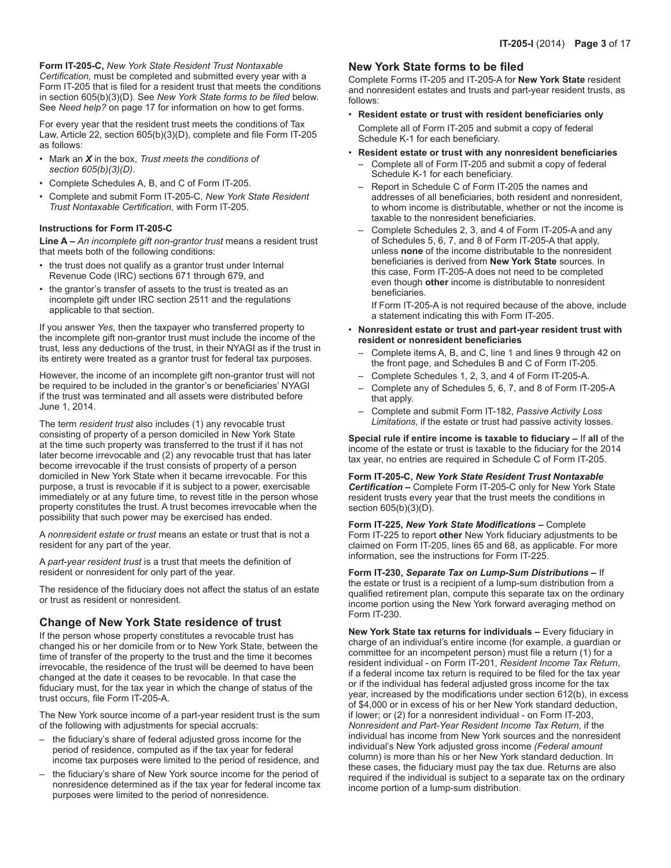**Form IT-205-C,** *New York State Resident Trust Nontaxable Certification,* must be completed and submitted every year with a Form IT-205 that is filed for a resident trust that meets the conditions in section 605(b)(3)(D). See *New York State forms to be filed* below. See *Need help?* on page 17 for information on how to get forms.

For every year that the resident trust meets the conditions of Tax Law, Article 22, section 605(b)(3)(D), complete and file Form IT-205 as follows:

- • Mark an *X* in the box, *Trust meets the conditions of section 605(b)(3)(D)*.
- • Complete Schedules A, B, and C of Form IT-205.
- Complete and submit Form IT-205-C, *New York State Resident Trust Nontaxable Certification,* with Form IT-205.

### **Instructions for Form IT-205-C**

**Line A –** *An incomplete gift non-grantor trust* means a resident trust that meets both of the following conditions:

- the trust does not qualify as a grantor trust under Internal Revenue Code (IRC) sections 671 through 679, and
- the grantor's transfer of assets to the trust is treated as an incomplete gift under IRC section 2511 and the regulations applicable to that section.

If you answer *Yes*, then the taxpayer who transferred property to the incomplete gift non-grantor trust must include the income of the trust, less any deductions of the trust, in their NYAGI as if the trust in its entirety were treated as a grantor trust for federal tax purposes.

However, the income of an incomplete gift non-grantor trust will not be required to be included in the grantor's or beneficiaries' NYAGI if the trust was terminated and all assets were distributed before June 1, 2014.

The term *resident trust* also includes (1) any revocable trust consisting of property of a person domiciled in New York State at the time such property was transferred to the trust if it has not later become irrevocable and (2) any revocable trust that has later become irrevocable if the trust consists of property of a person domiciled in New York State when it became irrevocable. For this purpose, a trust is revocable if it is subject to a power, exercisable immediately or at any future time, to revest title in the person whose property constitutes the trust. A trust becomes irrevocable when the possibility that such power may be exercised has ended.

A *nonresident estate or trust* means an estate or trust that is not a resident for any part of the year.

A *part-year resident trust* is a trust that meets the definition of resident or nonresident for only part of the year.

The residence of the fiduciary does not affect the status of an estate or trust as resident or nonresident.

# **Change of New York State residence of trust**

If the person whose property constitutes a revocable trust has changed his or her domicile from or to New York State, between the time of transfer of the property to the trust and the time it becomes irrevocable, the residence of the trust will be deemed to have been changed at the date it ceases to be revocable. In that case the fiduciary must, for the tax year in which the change of status of the trust occurs, file Form IT‑205‑A.

The New York source income of a part-year resident trust is the sum of the following with adjustments for special accruals:

- the fiduciary's share of federal adjusted gross income for the period of residence, computed as if the tax year for federal income tax purposes were limited to the period of residence, and
- the fiduciary's share of New York source income for the period of nonresidence determined as if the tax year for federal income tax purposes were limited to the period of nonresidence.

### **New York State forms to be filed**

Complete Forms IT‑205 and IT‑205‑A for **New York State** resident and nonresident estates and trusts and part-year resident trusts, as follows:

- • **Resident estate or trust with resident beneficiaries only** Complete all of Form IT‑205 and submit a copy of federal Schedule K-1 for each beneficiary.
- • **Resident estate or trust with any nonresident beneficiaries**
	- Complete all of Form IT-205 and submit a copy of federal Schedule K-1 for each beneficiary.
	- Report in Schedule C of Form IT-205 the names and addresses of all beneficiaries, both resident and nonresident, to whom income is distributable, whether or not the income is taxable to the nonresident beneficiaries.
	- Complete Schedules 2, 3, and 4 of Form IT-205-A and any of Schedules 5, 6, 7, and 8 of Form IT-205-A that apply, unless **none** of the income distributable to the nonresident beneficiaries is derived from **New York State** sources. In this case, Form IT-205-A does not need to be completed even though **other** income is distributable to nonresident beneficiaries.

 If Form IT-205-A is not required because of the above, include a statement indicating this with Form IT-205.

- • **Nonresident estate or trust and part-year resident trust with resident or nonresident beneficiaries**
	- Complete items A, B, and C, line 1 and lines 9 through 42 on the front page, and Schedules B and C of Form IT‑205.
	- Complete Schedules 1, 2, 3, and 4 of Form IT-205-A.
	- Complete any of Schedules 5, 6, 7, and 8 of Form IT-205-A that apply.
	- Complete and submit Form IT-182, *Passive Activity Loss Limitations*, if the estate or trust had passive activity losses.

**Special rule if entire income is taxable to fiduciary –** If **all** of the income of the estate or trust is taxable to the fiduciary for the 2014 tax year, no entries are required in Schedule C of Form IT‑205.

**Form IT-205-C,** *New York State Resident Trust Nontaxable Certification* **–** Complete Form IT-205-C only for New York State resident trusts every year that the trust meets the conditions in section 605(b)(3)(D).

**Form IT-225,** *New York State Modifications* **–** Complete Form IT-225 to report **other** New York fiduciary adjustments to be claimed on Form IT-205, lines 65 and 68, as applicable. For more information, see the instructions for Form IT-225.

**Form IT‑230,** *Separate Tax on Lump-Sum Distributions* **–** If the estate or trust is a recipient of a lump-sum distribution from a qualified retirement plan, compute this separate tax on the ordinary income portion using the New York forward averaging method on Form IT‑230.

**New York State tax returns for individuals –** Every fiduciary in charge of an individual's entire income (for example, a guardian or committee for an incompetent person) must file a return (1) for a resident individual - on Form IT-201, *Resident Income Tax Return*, if a federal income tax return is required to be filed for the tax year or if the individual has federal adjusted gross income for the tax year, increased by the modifications under section 612(b), in excess of \$4,000 or in excess of his or her New York standard deduction, if lower; or (2) for a nonresident individual - on Form IT‑203, *Nonresident and Part-Year Resident Income Tax Return,* if the individual has income from New York sources and the nonresident individual's New York adjusted gross income *(Federal amount* column) is more than his or her New York standard deduction. In these cases, the fiduciary must pay the tax due. Returns are also required if the individual is subject to a separate tax on the ordinary income portion of a lump-sum distribution.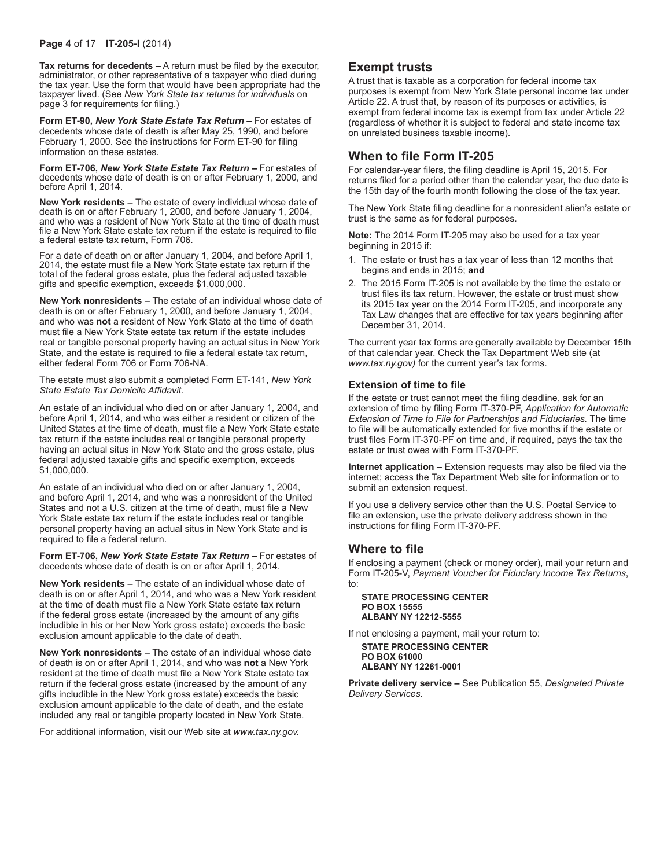#### **Page 4** of 17 **IT-205-I** (2014)

**Tax returns for decedents –** A return must be filed by the executor, administrator, or other representative of a taxpayer who died during the tax year. Use the form that would have been appropriate had the taxpayer lived. (See *New York State tax returns for individuals* on page 3 for requirements for filing.)

**Form ET‑90,** *New York State Estate Tax Return* **–** For estates of decedents whose date of death is after May 25, 1990, and before February 1, 2000. See the instructions for Form ET-90 for filing information on these estates.

**Form ET-706,** *New York State Estate Tax Return* **–** For estates of decedents whose date of death is on or after February 1, 2000, and before April 1, 2014.

**New York residents –** The estate of every individual whose date of death is on or after February 1, 2000, and before January 1, 2004, and who was a resident of New York State at the time of death must file a New York State estate tax return if the estate is required to file a federal estate tax return, Form 706.

For a date of death on or after January 1, 2004, and before April 1, 2014, the estate must file a New York State estate tax return if the total of the federal gross estate, plus the federal adjusted taxable gifts and specific exemption, exceeds \$1,000,000.

**New York nonresidents –** The estate of an individual whose date of death is on or after February 1, 2000, and before January 1, 2004, and who was **not** a resident of New York State at the time of death must file a New York State estate tax return if the estate includes real or tangible personal property having an actual situs in New York State, and the estate is required to file a federal estate tax return, either federal Form 706 or Form 706-NA.

The estate must also submit a completed Form ET-141, *New York State Estate Tax Domicile Affidavit.*

An estate of an individual who died on or after January 1, 2004, and before April 1, 2014, and who was either a resident or citizen of the United States at the time of death, must file a New York State estate tax return if the estate includes real or tangible personal property having an actual situs in New York State and the gross estate, plus federal adjusted taxable gifts and specific exemption, exceeds \$1,000,000.

An estate of an individual who died on or after January 1, 2004, and before April 1, 2014, and who was a nonresident of the United States and not a U.S. citizen at the time of death, must file a New York State estate tax return if the estate includes real or tangible personal property having an actual situs in New York State and is required to file a federal return.

**Form ET-706,** *New York State Estate Tax Return* **–** For estates of decedents whose date of death is on or after April 1, 2014.

**New York residents –** The estate of an individual whose date of death is on or after April 1, 2014, and who was a New York resident at the time of death must file a New York State estate tax return if the federal gross estate (increased by the amount of any gifts includible in his or her New York gross estate) exceeds the basic exclusion amount applicable to the date of death.

**New York nonresidents –** The estate of an individual whose date of death is on or after April 1, 2014, and who was **not** a New York resident at the time of death must file a New York State estate tax return if the federal gross estate (increased by the amount of any gifts includible in the New York gross estate) exceeds the basic exclusion amount applicable to the date of death, and the estate included any real or tangible property located in New York State.

For additional information, visit our Web site at *www.tax.ny.gov.*

### **Exempt trusts**

A trust that is taxable as a corporation for federal income tax purposes is exempt from New York State personal income tax under Article 22. A trust that, by reason of its purposes or activities, is exempt from federal income tax is exempt from tax under Article 22 (regardless of whether it is subject to federal and state income tax on unrelated business taxable income).

### **When to file Form IT-205**

For calendar‑year filers, the filing deadline is April 15, 2015. For returns filed for a period other than the calendar year, the due date is the 15th day of the fourth month following the close of the tax year.

The New York State filing deadline for a nonresident alien's estate or trust is the same as for federal purposes.

**Note:** The 2014 Form IT-205 may also be used for a tax year beginning in 2015 if:

- 1. The estate or trust has a tax year of less than 12 months that begins and ends in 2015; **and**
- 2. The 2015 Form IT-205 is not available by the time the estate or trust files its tax return. However, the estate or trust must show its 2015 tax year on the 2014 Form IT‑205, and incorporate any Tax Law changes that are effective for tax years beginning after December 31, 2014.

The current year tax forms are generally available by December 15th of that calendar year. Check the Tax Department Web site (at *www.tax.ny.gov)* for the current year's tax forms.

#### **Extension of time to file**

If the estate or trust cannot meet the filing deadline, ask for an extension of time by filing Form IT‑370‑PF, *Application for Automatic Extension of Time to File for Partnerships and Fiduciaries.* The time to file will be automatically extended for five months if the estate or trust files Form IT‑370‑PF on time and, if required, pays the tax the estate or trust owes with Form IT‑370‑PF.

**Internet application –** Extension requests may also be filed via the internet; access the Tax Department Web site for information or to submit an extension request.

If you use a delivery service other than the U.S. Postal Service to file an extension, use the private delivery address shown in the instructions for filing Form IT-370-PF.

### **Where to file**

If enclosing a payment (check or money order), mail your return and Form IT-205-V, *Payment Voucher for Fiduciary Income Tax Returns*, to:

#### **STATE PROCESSING CENTER PO BOX 15555 ALBANY NY 12212-5555**

If not enclosing a payment, mail your return to:

**STATE PROCESSING CENTER PO BOX 61000 ALBANY NY 12261-0001**

**Private delivery service –** See Publication 55, *Designated Private Delivery Services.*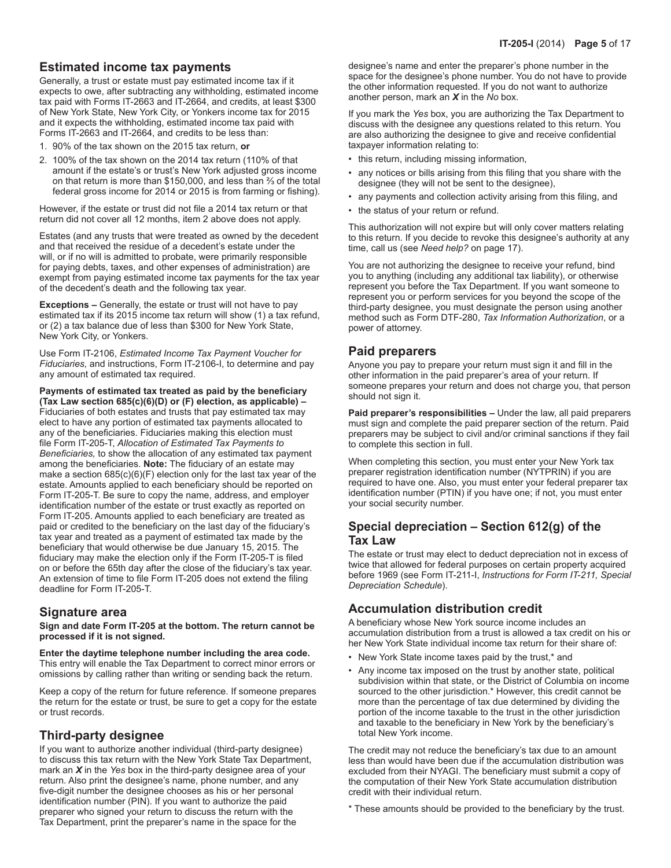# **Estimated income tax payments**

Generally, a trust or estate must pay estimated income tax if it expects to owe, after subtracting any withholding, estimated income tax paid with Forms IT-2663 and IT-2664, and credits, at least \$300 of New York State, New York City, or Yonkers income tax for 2015 and it expects the withholding, estimated income tax paid with Forms IT-2663 and IT-2664, and credits to be less than:

- 1. 90% of the tax shown on the 2015 tax return, **or**
- 2. 100% of the tax shown on the 2014 tax return (110% of that amount if the estate's or trust's New York adjusted gross income on that return is more than \$150,000, and less than ⅔ of the total federal gross income for 2014 or 2015 is from farming or fishing).

However, if the estate or trust did not file a 2014 tax return or that return did not cover all 12 months, item 2 above does not apply.

Estates (and any trusts that were treated as owned by the decedent and that received the residue of a decedent's estate under the will, or if no will is admitted to probate, were primarily responsible for paying debts, taxes, and other expenses of administration) are exempt from paying estimated income tax payments for the tax year of the decedent's death and the following tax year.

**Exceptions –** Generally, the estate or trust will not have to pay estimated tax if its 2015 income tax return will show (1) a tax refund, or (2) a tax balance due of less than \$300 for New York State, New York City, or Yonkers.

Use Form IT‑2106, *Estimated Income Tax Payment Voucher for Fiduciaries,* and instructions, Form IT‑2106‑I, to determine and pay any amount of estimated tax required.

**Payments of estimated tax treated as paid by the beneficiary (Tax Law section 685(c)(6)(D) or (F) election, as applicable) –**  Fiduciaries of both estates and trusts that pay estimated tax may elect to have any portion of estimated tax payments allocated to any of the beneficiaries. Fiduciaries making this election must file Form IT‑205‑T, *Allocation of Estimated Tax Payments to Beneficiaries,* to show the allocation of any estimated tax payment among the beneficiaries. **Note:** The fiduciary of an estate may make a section 685(c)(6)(F) election only for the last tax year of the estate. Amounts applied to each beneficiary should be reported on Form IT‑205‑T. Be sure to copy the name, address, and employer identification number of the estate or trust exactly as reported on Form IT‑205. Amounts applied to each beneficiary are treated as paid or credited to the beneficiary on the last day of the fiduciary's tax year and treated as a payment of estimated tax made by the beneficiary that would otherwise be due January 15, 2015. The fiduciary may make the election only if the Form IT‑205‑T is filed on or before the 65th day after the close of the fiduciary's tax year. An extension of time to file Form IT‑205 does not extend the filing deadline for Form IT‑205‑T.

### **Signature area**

**Sign and date Form IT-205 at the bottom. The return cannot be processed if it is not signed.**

**Enter the daytime telephone number including the area code.** This entry will enable the Tax Department to correct minor errors or omissions by calling rather than writing or sending back the return.

Keep a copy of the return for future reference. If someone prepares the return for the estate or trust, be sure to get a copy for the estate or trust records.

# **Third-party designee**

If you want to authorize another individual (third-party designee) to discuss this tax return with the New York State Tax Department, mark an *X* in the *Yes* box in the third-party designee area of your return. Also print the designee's name, phone number, and any five-digit number the designee chooses as his or her personal identification number (PIN). If you want to authorize the paid preparer who signed your return to discuss the return with the Tax Department, print the preparer's name in the space for the

designee's name and enter the preparer's phone number in the space for the designee's phone number. You do not have to provide the other information requested. If you do not want to authorize another person, mark an *X* in the *No* box.

If you mark the *Yes* box, you are authorizing the Tax Department to discuss with the designee any questions related to this return. You are also authorizing the designee to give and receive confidential taxpayer information relating to:

- this return, including missing information,
- any notices or bills arising from this filing that you share with the designee (they will not be sent to the designee),
- any payments and collection activity arising from this filing, and
- the status of your return or refund.

This authorization will not expire but will only cover matters relating to this return. If you decide to revoke this designee's authority at any time, call us (see *Need help?* on page 17).

You are not authorizing the designee to receive your refund, bind you to anything (including any additional tax liability), or otherwise represent you before the Tax Department. If you want someone to represent you or perform services for you beyond the scope of the third-party designee, you must designate the person using another method such as Form DTF-280, *Tax Information Authorization*, or a power of attorney.

# **Paid preparers**

Anyone you pay to prepare your return must sign it and fill in the other information in the paid preparer's area of your return. If someone prepares your return and does not charge you, that person should not sign it.

**Paid preparer's responsibilities –** Under the law, all paid preparers must sign and complete the paid preparer section of the return. Paid preparers may be subject to civil and/or criminal sanctions if they fail to complete this section in full.

When completing this section, you must enter your New York tax preparer registration identification number (NYTPRIN) if you are required to have one. Also, you must enter your federal preparer tax identification number (PTIN) if you have one; if not, you must enter your social security number.

# **Special depreciation – Section 612(g) of the Tax Law**

The estate or trust may elect to deduct depreciation not in excess of twice that allowed for federal purposes on certain property acquired before 1969 (see Form IT‑211‑I, *Instructions for Form IT-211, Special Depreciation Schedule*).

# **Accumulation distribution credit**

A beneficiary whose New York source income includes an accumulation distribution from a trust is allowed a tax credit on his or her New York State individual income tax return for their share of:

- New York State income taxes paid by the trust,\* and
- Any income tax imposed on the trust by another state, political subdivision within that state, or the District of Columbia on income sourced to the other jurisdiction.\* However, this credit cannot be more than the percentage of tax due determined by dividing the portion of the income taxable to the trust in the other jurisdiction and taxable to the beneficiary in New York by the beneficiary's total New York income.

The credit may not reduce the beneficiary's tax due to an amount less than would have been due if the accumulation distribution was excluded from their NYAGI. The beneficiary must submit a copy of the computation of their New York State accumulation distribution credit with their individual return.

\* These amounts should be provided to the beneficiary by the trust.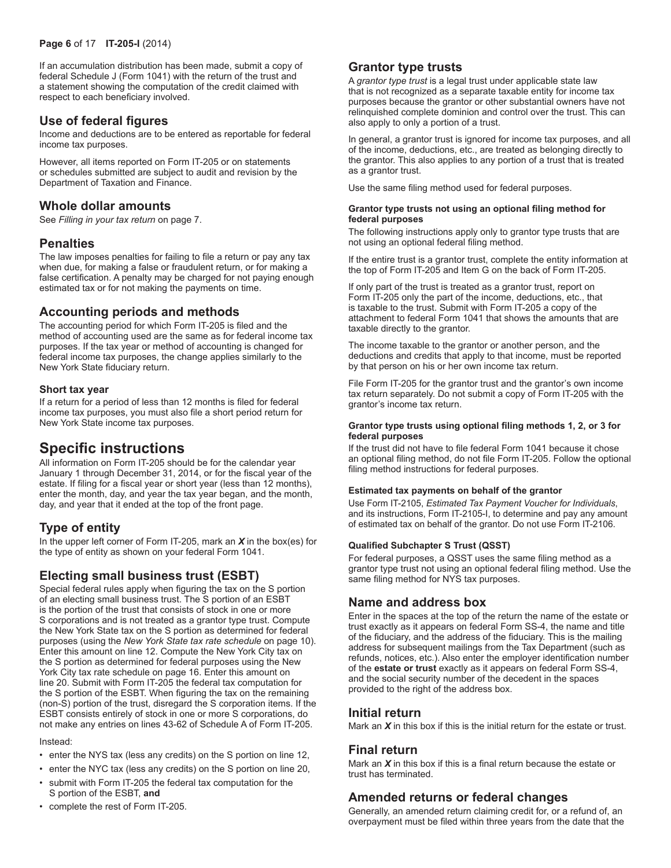### **Page 6** of 17 **IT-205-I** (2014)

If an accumulation distribution has been made, submit a copy of federal Schedule J (Form 1041) with the return of the trust and a statement showing the computation of the credit claimed with respect to each beneficiary involved.

### **Use of federal figures**

Income and deductions are to be entered as reportable for federal income tax purposes.

However, all items reported on Form IT‑205 or on statements or schedules submitted are subject to audit and revision by the Department of Taxation and Finance.

### **Whole dollar amounts**

See *Filling in your tax return* on page 7.

### **Penalties**

The law imposes penalties for failing to file a return or pay any tax when due, for making a false or fraudulent return, or for making a false certification. A penalty may be charged for not paying enough estimated tax or for not making the payments on time.

### **Accounting periods and methods**

The accounting period for which Form IT‑205 is filed and the method of accounting used are the same as for federal income tax purposes. If the tax year or method of accounting is changed for federal income tax purposes, the change applies similarly to the New York State fiduciary return.

### **Short tax year**

If a return for a period of less than 12 months is filed for federal income tax purposes, you must also file a short period return for New York State income tax purposes.

# **Specific instructions**

All information on Form IT‑205 should be for the calendar year January 1 through December 31, 2014, or for the fiscal year of the estate. If filing for a fiscal year or short year (less than 12 months), enter the month, day, and year the tax year began, and the month, day, and year that it ended at the top of the front page.

# **Type of entity**

In the upper left corner of Form IT-205, mark an *X* in the box(es) for the type of entity as shown on your federal Form 1041.

# **Electing small business trust (ESBT)**

Special federal rules apply when figuring the tax on the S portion of an electing small business trust. The S portion of an ESBT is the portion of the trust that consists of stock in one or more S corporations and is not treated as a grantor type trust. Compute the New York State tax on the S portion as determined for federal purposes (using the *New York State tax rate schedule* on page 10). Enter this amount on line 12. Compute the New York City tax on the S portion as determined for federal purposes using the New York City tax rate schedule on page 16. Enter this amount on line 20. Submit with Form IT-205 the federal tax computation for the S portion of the ESBT. When figuring the tax on the remaining (non-S) portion of the trust, disregard the S corporation items. If the ESBT consists entirely of stock in one or more S corporations, do not make any entries on lines 43-62 of Schedule A of Form IT-205.

#### Instead:

- enter the NYS tax (less any credits) on the S portion on line 12,
- enter the NYC tax (less any credits) on the S portion on line 20,
- submit with Form IT-205 the federal tax computation for the S portion of the ESBT, **and**
- complete the rest of Form IT-205.

### **Grantor type trusts**

A *grantor type trust* is a legal trust under applicable state law that is not recognized as a separate taxable entity for income tax purposes because the grantor or other substantial owners have not relinquished complete dominion and control over the trust. This can also apply to only a portion of a trust.

In general, a grantor trust is ignored for income tax purposes, and all of the income, deductions, etc., are treated as belonging directly to the grantor. This also applies to any portion of a trust that is treated as a grantor trust.

Use the same filing method used for federal purposes.

#### **Grantor type trusts not using an optional filing method for federal purposes**

The following instructions apply only to grantor type trusts that are not using an optional federal filing method.

If the entire trust is a grantor trust, complete the entity information at the top of Form IT-205 and Item G on the back of Form IT-205.

If only part of the trust is treated as a grantor trust, report on Form IT-205 only the part of the income, deductions, etc., that is taxable to the trust. Submit with Form IT-205 a copy of the attachment to federal Form 1041 that shows the amounts that are taxable directly to the grantor.

The income taxable to the grantor or another person, and the deductions and credits that apply to that income, must be reported by that person on his or her own income tax return.

File Form IT-205 for the grantor trust and the grantor's own income tax return separately. Do not submit a copy of Form IT-205 with the grantor's income tax return.

#### **Grantor type trusts using optional filing methods 1, 2, or 3 for federal purposes**

If the trust did not have to file federal Form 1041 because it chose an optional filing method, do not file Form IT-205. Follow the optional filing method instructions for federal purposes.

#### **Estimated tax payments on behalf of the grantor**

Use Form IT-2105, *Estimated Tax Payment Voucher for Individuals*, and its instructions, Form IT-2105-I, to determine and pay any amount of estimated tax on behalf of the grantor. Do not use Form IT-2106.

#### **Qualified Subchapter S Trust (QSST)**

For federal purposes, a QSST uses the same filing method as a grantor type trust not using an optional federal filing method. Use the same filing method for NYS tax purposes.

### **Name and address box**

Enter in the spaces at the top of the return the name of the estate or trust exactly as it appears on federal Form SS-4, the name and title of the fiduciary, and the address of the fiduciary. This is the mailing address for subsequent mailings from the Tax Department (such as refunds, notices, etc.). Also enter the employer identification number of the **estate or trust** exactly as it appears on federal Form SS-4, and the social security number of the decedent in the spaces provided to the right of the address box.

### **Initial return**

Mark an *X* in this box if this is the initial return for the estate or trust.

### **Final return**

Mark an *X* in this box if this is a final return because the estate or trust has terminated.

### **Amended returns or federal changes**

Generally, an amended return claiming credit for, or a refund of, an overpayment must be filed within three years from the date that the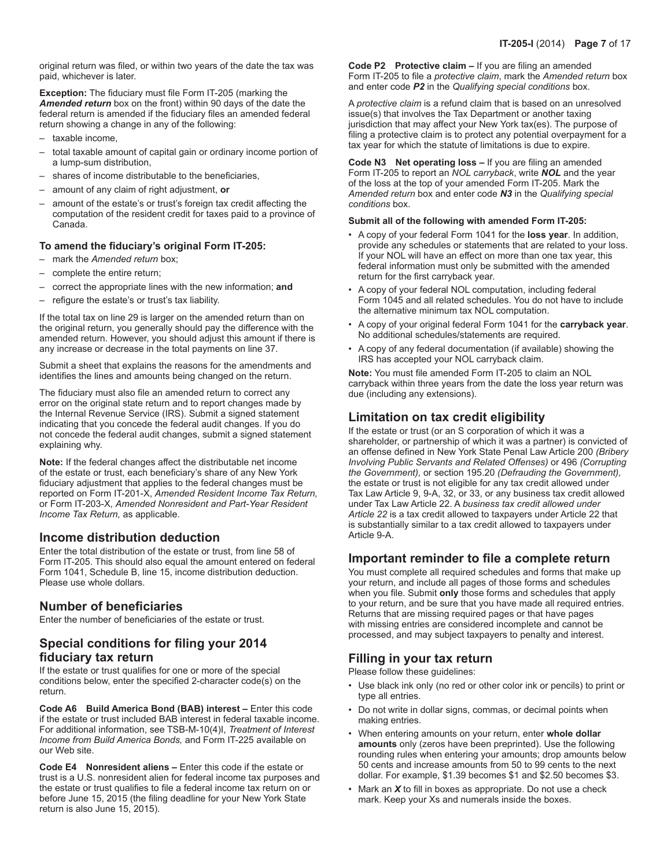original return was filed, or within two years of the date the tax was paid, whichever is later.

**Exception:** The fiduciary must file Form IT-205 (marking the *Amended return* box on the front) within 90 days of the date the federal return is amended if the fiduciary files an amended federal return showing a change in any of the following:

- taxable income,
- total taxable amount of capital gain or ordinary income portion of a lump-sum distribution,
- – shares of income distributable to the beneficiaries,
- amount of any claim of right adjustment, or
- amount of the estate's or trust's foreign tax credit affecting the computation of the resident credit for taxes paid to a province of Canada.

### **To amend the fiduciary's original Form IT-205:**

- mark the *Amended return* box;
- – complete the entire return;
- correct the appropriate lines with the new information; and
- refigure the estate's or trust's tax liability.

If the total tax on line 29 is larger on the amended return than on the original return, you generally should pay the difference with the amended return. However, you should adjust this amount if there is any increase or decrease in the total payments on line 37.

Submit a sheet that explains the reasons for the amendments and identifies the lines and amounts being changed on the return.

The fiduciary must also file an amended return to correct any error on the original state return and to report changes made by the Internal Revenue Service (IRS). Submit a signed statement indicating that you concede the federal audit changes. If you do not concede the federal audit changes, submit a signed statement explaining why.

**Note:** If the federal changes affect the distributable net income of the estate or trust, each beneficiary's share of any New York fiduciary adjustment that applies to the federal changes must be reported on Form IT‑201‑X, *Amended Resident Income Tax Return,* or Form IT‑203‑X, *Amended Nonresident and Part-Year Resident Income Tax Return,* as applicable.

# **Income distribution deduction**

Enter the total distribution of the estate or trust, from line 58 of Form IT‑205. This should also equal the amount entered on federal Form 1041, Schedule B, line 15, income distribution deduction. Please use whole dollars.

# **Number of beneficiaries**

Enter the number of beneficiaries of the estate or trust.

# **Special conditions for filing your 2014 fiduciary tax return**

If the estate or trust qualifies for one or more of the special conditions below, enter the specified 2-character code(s) on the return.

**Code A6 Build America Bond (BAB) interest –** Enter this code if the estate or trust included BAB interest in federal taxable income. For additional information, see TSB-M-10(4)I, *Treatment of Interest Income from Build America Bonds,* and Form IT-225 available on our Web site.

**Code E4 Nonresident aliens –** Enter this code if the estate or trust is a U.S. nonresident alien for federal income tax purposes and the estate or trust qualifies to file a federal income tax return on or before June 15, 2015 (the filing deadline for your New York State return is also June 15, 2015).

**Code P2 Protective claim –** If you are filing an amended Form IT-205 to file a *protective claim*, mark the *Amended return* box and enter code *P2* in the *Qualifying special conditions* box.

A *protective claim* is a refund claim that is based on an unresolved issue(s) that involves the Tax Department or another taxing jurisdiction that may affect your New York tax(es). The purpose of filing a protective claim is to protect any potential overpayment for a tax year for which the statute of limitations is due to expire.

**Code N3 Net operating loss –** If you are filing an amended Form IT-205 to report an *NOL carryback*, write *NOL* and the year of the loss at the top of your amended Form IT-205. Mark the *Amended return* box and enter code *N3* in the *Qualifying special conditions* box.

### **Submit all of the following with amended Form IT-205:**

- • A copy of your federal Form 1041 for the **loss year**. In addition, provide any schedules or statements that are related to your loss. If your NOL will have an effect on more than one tax year, this federal information must only be submitted with the amended return for the first carryback year.
- • A copy of your federal NOL computation, including federal Form 1045 and all related schedules. You do not have to include the alternative minimum tax NOL computation.
- • A copy of your original federal Form 1041 for the **carryback year**. No additional schedules/statements are required.
- • A copy of any federal documentation (if available) showing the IRS has accepted your NOL carryback claim.

**Note:** You must file amended Form IT-205 to claim an NOL carryback within three years from the date the loss year return was due (including any extensions).

# **Limitation on tax credit eligibility**

If the estate or trust (or an S corporation of which it was a shareholder, or partnership of which it was a partner) is convicted of an offense defined in New York State Penal Law Article 200 *(Bribery Involving Public Servants and Related Offenses)* or 496 *(Corrupting the Government),* or section 195.20 *(Defrauding the Government),* the estate or trust is not eligible for any tax credit allowed under Tax Law Article 9, 9-A, 32, or 33, or any business tax credit allowed under Tax Law Article 22. A *business tax credit allowed under Article 22* is a tax credit allowed to taxpayers under Article 22 that is substantially similar to a tax credit allowed to taxpayers under Article 9-A.

# **Important reminder to file a complete return**

You must complete all required schedules and forms that make up your return, and include all pages of those forms and schedules when you file. Submit **only** those forms and schedules that apply to your return, and be sure that you have made all required entries. Returns that are missing required pages or that have pages with missing entries are considered incomplete and cannot be processed, and may subject taxpayers to penalty and interest.

# **Filling in your tax return**

Please follow these guidelines:

- • Use black ink only (no red or other color ink or pencils) to print or type all entries.
- Do not write in dollar signs, commas, or decimal points when making entries.
- • When entering amounts on your return, enter **whole dollar amounts** only (zeros have been preprinted). Use the following rounding rules when entering your amounts; drop amounts below 50 cents and increase amounts from 50 to 99 cents to the next dollar. For example, \$1.39 becomes \$1 and \$2.50 becomes \$3.
- Mark an X to fill in boxes as appropriate. Do not use a check mark. Keep your Xs and numerals inside the boxes.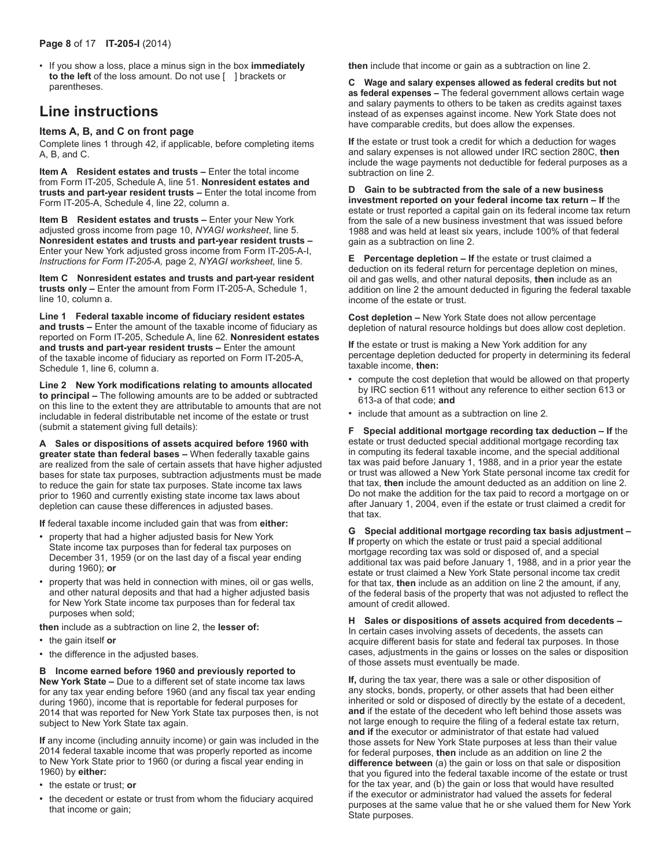### **Page 8** of 17 **IT-205-I** (2014)

• If you show a loss, place a minus sign in the box **immediately to the left** of the loss amount. Do not use [ ] brackets or parentheses.

# **Line instructions**

### **Items A, B, and C on front page**

Complete lines 1 through 42, if applicable, before completing items A, B, and C.

**Item A Resident estates and trusts –** Enter the total income from Form IT‑205, Schedule A, line 51. **Nonresident estates and trusts and part‑year resident trusts –** Enter the total income from Form IT‑205‑A, Schedule 4, line 22, column a.

**Item B Resident estates and trusts –** Enter your New York adjusted gross income from page 10, *NYAGI worksheet*, line 5. **Nonresident estates and trusts and part‑year resident trusts –**  Enter your New York adjusted gross income from Form IT‑205‑A‑I, *Instructions for Form IT-205-A,* page 2, *NYAGI worksheet*, line 5.

**Item C Nonresident estates and trusts and part-year resident trusts only –** Enter the amount from Form IT‑205‑A, Schedule 1, line 10, column a.

**Line 1 Federal taxable income of fiduciary resident estates and trusts –** Enter the amount of the taxable income of fiduciary as reported on Form IT‑205, Schedule A, line 62. **Nonresident estates and trusts and part-year resident trusts –** Enter the amount of the taxable income of fiduciary as reported on Form IT‑205‑A, Schedule 1, line 6, column a.

**Line 2 New York modifications relating to amounts allocated to principal –** The following amounts are to be added or subtracted on this line to the extent they are attributable to amounts that are not includable in federal distributable net income of the estate or trust (submit a statement giving full details):

**A Sales or dispositions of assets acquired before 1960 with greater state than federal bases –** When federally taxable gains are realized from the sale of certain assets that have higher adjusted bases for state tax purposes, subtraction adjustments must be made to reduce the gain for state tax purposes. State income tax laws prior to 1960 and currently existing state income tax laws about depletion can cause these differences in adjusted bases.

**If** federal taxable income included gain that was from **either:**

- • property that had a higher adjusted basis for New York State income tax purposes than for federal tax purposes on December 31, 1959 (or on the last day of a fiscal year ending during 1960); **or**
- property that was held in connection with mines, oil or gas wells, and other natural deposits and that had a higher adjusted basis for New York State income tax purposes than for federal tax purposes when sold;

**then** include as a subtraction on line 2, the **lesser of:**

- the gain itself **or**
- the difference in the adjusted bases.

**B Income earned before 1960 and previously reported to New York State –** Due to a different set of state income tax laws for any tax year ending before 1960 (and any fiscal tax year ending during 1960), income that is reportable for federal purposes for 2014 that was reported for New York State tax purposes then, is not subject to New York State tax again.

**If** any income (including annuity income) or gain was included in the 2014 federal taxable income that was properly reported as income to New York State prior to 1960 (or during a fiscal year ending in 1960) by **either:**

- • the estate or trust; **or**
- the decedent or estate or trust from whom the fiduciary acquired that income or gain;

**then** include that income or gain as a subtraction on line 2.

**C Wage and salary expenses allowed as federal credits but not as federal expenses –** The federal government allows certain wage and salary payments to others to be taken as credits against taxes instead of as expenses against income. New York State does not have comparable credits, but does allow the expenses.

**If** the estate or trust took a credit for which a deduction for wages and salary expenses is not allowed under IRC section 280C, **then** include the wage payments not deductible for federal purposes as a subtraction on line 2.

**D Gain to be subtracted from the sale of a new business investment reported on your federal income tax return – If** the estate or trust reported a capital gain on its federal income tax return from the sale of a new business investment that was issued before 1988 and was held at least six years, include 100% of that federal gain as a subtraction on line 2.

**E Percentage depletion – If** the estate or trust claimed a deduction on its federal return for percentage depletion on mines, oil and gas wells, and other natural deposits, **then** include as an addition on line 2 the amount deducted in figuring the federal taxable income of the estate or trust.

**Cost depletion –** New York State does not allow percentage depletion of natural resource holdings but does allow cost depletion.

**If** the estate or trust is making a New York addition for any percentage depletion deducted for property in determining its federal taxable income, **then:**

- compute the cost depletion that would be allowed on that property by IRC section 611 without any reference to either section 613 or 613-a of that code; **and**
- include that amount as a subtraction on line 2.

**F Special additional mortgage recording tax deduction – If** the estate or trust deducted special additional mortgage recording tax in computing its federal taxable income, and the special additional tax was paid before January 1, 1988, and in a prior year the estate or trust was allowed a New York State personal income tax credit for that tax, **then** include the amount deducted as an addition on line 2. Do not make the addition for the tax paid to record a mortgage on or after January 1, 2004, even if the estate or trust claimed a credit for that tax.

**G Special additional mortgage recording tax basis adjustment – If** property on which the estate or trust paid a special additional mortgage recording tax was sold or disposed of, and a special additional tax was paid before January 1, 1988, and in a prior year the estate or trust claimed a New York State personal income tax credit for that tax, **then** include as an addition on line 2 the amount, if any, of the federal basis of the property that was not adjusted to reflect the amount of credit allowed.

**H Sales or dispositions of assets acquired from decedents –**  In certain cases involving assets of decedents, the assets can acquire different basis for state and federal tax purposes. In those cases, adjustments in the gains or losses on the sales or disposition of those assets must eventually be made.

**If,** during the tax year, there was a sale or other disposition of any stocks, bonds, property, or other assets that had been either inherited or sold or disposed of directly by the estate of a decedent, **and** if the estate of the decedent who left behind those assets was not large enough to require the filing of a federal estate tax return, **and if** the executor or administrator of that estate had valued those assets for New York State purposes at less than their value for federal purposes, **then** include as an addition on line 2 the **difference between** (a) the gain or loss on that sale or disposition that you figured into the federal taxable income of the estate or trust for the tax year, and (b) the gain or loss that would have resulted if the executor or administrator had valued the assets for federal purposes at the same value that he or she valued them for New York State purposes.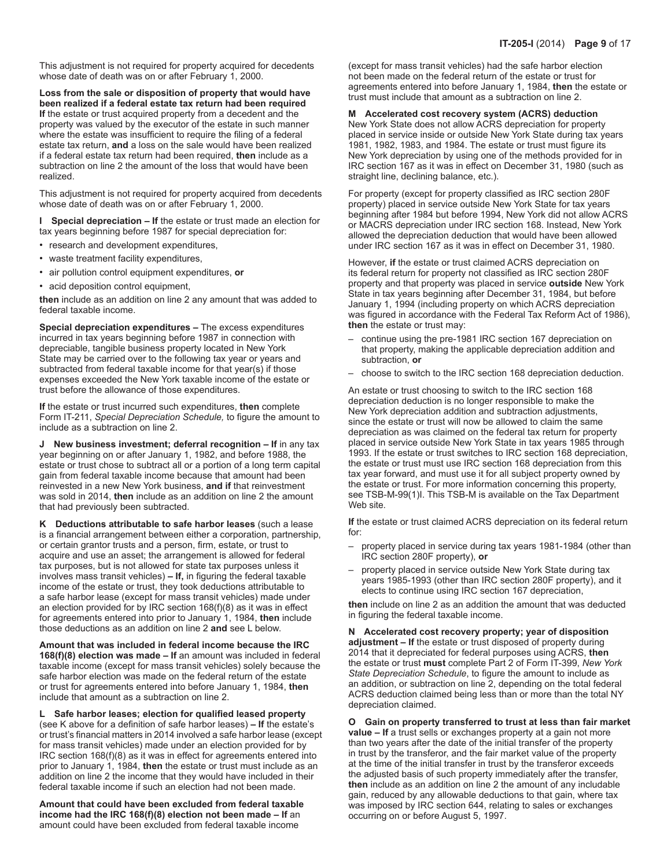This adjustment is not required for property acquired for decedents whose date of death was on or after February 1, 2000.

**Loss from the sale or disposition of property that would have been realized if a federal estate tax return had been required If** the estate or trust acquired property from a decedent and the property was valued by the executor of the estate in such manner where the estate was insufficient to require the filing of a federal estate tax return, **and** a loss on the sale would have been realized if a federal estate tax return had been required, **then** include as a subtraction on line 2 the amount of the loss that would have been realized.

This adjustment is not required for property acquired from decedents whose date of death was on or after February 1, 2000.

**I Special depreciation – If** the estate or trust made an election for tax years beginning before 1987 for special depreciation for:

- • research and development expenditures,
- • waste treatment facility expenditures,
- • air pollution control equipment expenditures, **or**
- acid deposition control equipment,

**then** include as an addition on line 2 any amount that was added to federal taxable income.

**Special depreciation expenditures –** The excess expenditures incurred in tax years beginning before 1987 in connection with depreciable, tangible business property located in New York State may be carried over to the following tax year or years and subtracted from federal taxable income for that year(s) if those expenses exceeded the New York taxable income of the estate or trust before the allowance of those expenditures.

**If** the estate or trust incurred such expenditures, **then** complete Form IT‑211, *Special Depreciation Schedule,* to figure the amount to include as a subtraction on line 2.

**J New business investment; deferral recognition – If in any tax** year beginning on or after January 1, 1982, and before 1988, the estate or trust chose to subtract all or a portion of a long term capital gain from federal taxable income because that amount had been reinvested in a new New York business, **and if** that reinvestment was sold in 2014, **then** include as an addition on line 2 the amount that had previously been subtracted.

**K Deductions attributable to safe harbor leases** (such a lease is a financial arrangement between either a corporation, partnership, or certain grantor trusts and a person, firm, estate, or trust to acquire and use an asset; the arrangement is allowed for federal tax purposes, but is not allowed for state tax purposes unless it involves mass transit vehicles) **– If,** in figuring the federal taxable income of the estate or trust, they took deductions attributable to a safe harbor lease (except for mass transit vehicles) made under an election provided for by IRC section 168(f)(8) as it was in effect for agreements entered into prior to January 1, 1984, **then** include those deductions as an addition on line 2 **and** see L below.

**Amount that was included in federal income because the IRC 168(f)(8) election was made – If** an amount was included in federal taxable income (except for mass transit vehicles) solely because the safe harbor election was made on the federal return of the estate or trust for agreements entered into before January 1, 1984, **then** include that amount as a subtraction on line 2.

**L Safe harbor leases; election for qualified leased property**  (see K above for a definition of safe harbor leases) **– If** the estate's or trust's financial matters in 2014 involved a safe harbor lease (except for mass transit vehicles) made under an election provided for by IRC section 168(f)(8) as it was in effect for agreements entered into prior to January 1, 1984, **then** the estate or trust must include as an addition on line 2 the income that they would have included in their federal taxable income if such an election had not been made.

**Amount that could have been excluded from federal taxable income had the IRC 168(f)(8) election not been made – If** an amount could have been excluded from federal taxable income

(except for mass transit vehicles) had the safe harbor election not been made on the federal return of the estate or trust for agreements entered into before January 1, 1984, **then** the estate or trust must include that amount as a subtraction on line 2.

### **M Accelerated cost recovery system (ACRS) deduction**

New York State does not allow ACRS depreciation for property placed in service inside or outside New York State during tax years 1981, 1982, 1983, and 1984. The estate or trust must figure its New York depreciation by using one of the methods provided for in IRC section 167 as it was in effect on December 31, 1980 (such as straight line, declining balance, etc.).

For property (except for property classified as IRC section 280F property) placed in service outside New York State for tax years beginning after 1984 but before 1994, New York did not allow ACRS or MACRS depreciation under IRC section 168. Instead, New York allowed the depreciation deduction that would have been allowed under IRC section 167 as it was in effect on December 31, 1980.

However, **if** the estate or trust claimed ACRS depreciation on its federal return for property not classified as IRC section 280F property and that property was placed in service **outside** New York State in tax years beginning after December 31, 1984, but before January 1, 1994 (including property on which ACRS depreciation was figured in accordance with the Federal Tax Reform Act of 1986), **then** the estate or trust may:

- – continue using the pre-1981 IRC section 167 depreciation on that property, making the applicable depreciation addition and subtraction, **or**
- – choose to switch to the IRC section 168 depreciation deduction.

An estate or trust choosing to switch to the IRC section 168 depreciation deduction is no longer responsible to make the New York depreciation addition and subtraction adjustments, since the estate or trust will now be allowed to claim the same depreciation as was claimed on the federal tax return for property placed in service outside New York State in tax years 1985 through 1993. If the estate or trust switches to IRC section 168 depreciation, the estate or trust must use IRC section 168 depreciation from this tax year forward, and must use it for all subject property owned by the estate or trust. For more information concerning this property, see TSB-M-99(1)I. This TSB-M is available on the Tax Department Web site.

**If** the estate or trust claimed ACRS depreciation on its federal return for:

- property placed in service during tax years 1981-1984 (other than IRC section 280F property), **or**
- property placed in service outside New York State during tax years 1985-1993 (other than IRC section 280F property), and it elects to continue using IRC section 167 depreciation,

**then** include on line 2 as an addition the amount that was deducted in figuring the federal taxable income.

**N Accelerated cost recovery property; year of disposition adjustment – If** the estate or trust disposed of property during 2014 that it depreciated for federal purposes using ACRS, **then** the estate or trust **must** complete Part 2 of Form IT‑399, *New York State Depreciation Schedule*, to figure the amount to include as an addition, or subtraction on line 2, depending on the total federal ACRS deduction claimed being less than or more than the total NY depreciation claimed.

**O Gain on property transferred to trust at less than fair market value – If** a trust sells or exchanges property at a gain not more than two years after the date of the initial transfer of the property in trust by the transferor, and the fair market value of the property at the time of the initial transfer in trust by the transferor exceeds the adjusted basis of such property immediately after the transfer, **then** include as an addition on line 2 the amount of any includable gain, reduced by any allowable deductions to that gain, where tax was imposed by IRC section 644, relating to sales or exchanges occurring on or before August 5, 1997.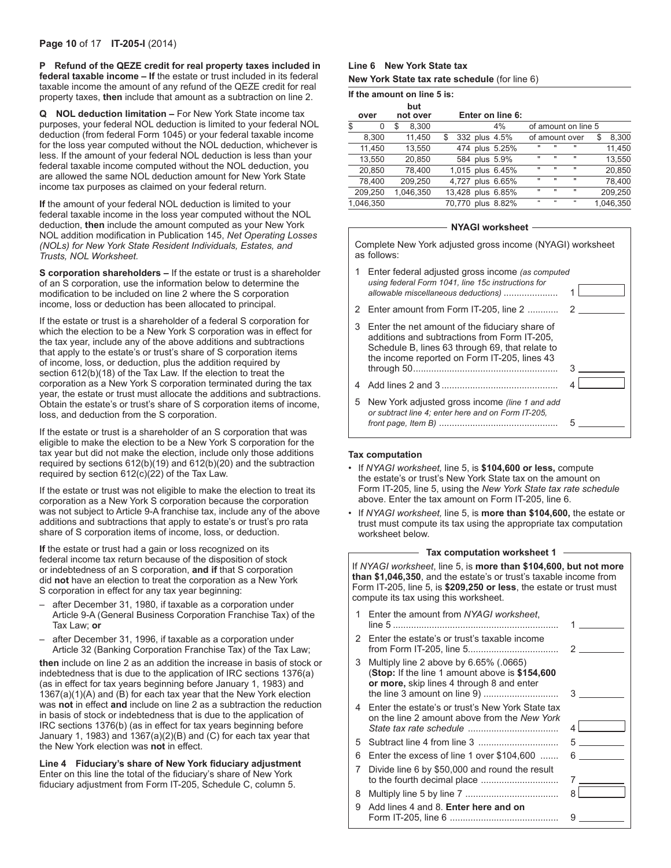**P Refund of the QEZE credit for real property taxes included in federal taxable income – If** the estate or trust included in its federal taxable income the amount of any refund of the QEZE credit for real property taxes, **then** include that amount as a subtraction on line 2.

**Q NOL deduction limitation –** For New York State income tax purposes, your federal NOL deduction is limited to your federal NOL deduction (from federal Form 1045) or your federal taxable income for the loss year computed without the NOL deduction, whichever is less. If the amount of your federal NOL deduction is less than your federal taxable income computed without the NOL deduction, you are allowed the same NOL deduction amount for New York State income tax purposes as claimed on your federal return.

**If** the amount of your federal NOL deduction is limited to your federal taxable income in the loss year computed without the NOL deduction, **then** include the amount computed as your New York NOL addition modification in Publication 145, *Net Operating Losses (NOLs) for New York State Resident Individuals, Estates, and Trusts, NOL Worksheet.*

**S corporation shareholders –** If the estate or trust is a shareholder of an S corporation, use the information below to determine the modification to be included on line 2 where the S corporation income, loss or deduction has been allocated to principal.

If the estate or trust is a shareholder of a federal S corporation for which the election to be a New York S corporation was in effect for the tax year, include any of the above additions and subtractions that apply to the estate's or trust's share of S corporation items of income, loss, or deduction, plus the addition required by section 612(b)(18) of the Tax Law. If the election to treat the corporation as a New York S corporation terminated during the tax year, the estate or trust must allocate the additions and subtractions. Obtain the estate's or trust's share of S corporation items of income, loss, and deduction from the S corporation.

If the estate or trust is a shareholder of an S corporation that was eligible to make the election to be a New York S corporation for the tax year but did not make the election, include only those additions required by sections 612(b)(19) and 612(b)(20) and the subtraction required by section 612(c)(22) of the Tax Law.

If the estate or trust was not eligible to make the election to treat its corporation as a New York S corporation because the corporation was not subject to Article 9-A franchise tax, include any of the above additions and subtractions that apply to estate's or trust's pro rata share of S corporation items of income, loss, or deduction.

**If** the estate or trust had a gain or loss recognized on its federal income tax return because of the disposition of stock or indebtedness of an S corporation, **and if** that S corporation did **not** have an election to treat the corporation as a New York S corporation in effect for any tax year beginning:

- after December 31, 1980, if taxable as a corporation under Article 9‑A (General Business Corporation Franchise Tax) of the Tax Law; **or**
- after December 31, 1996, if taxable as a corporation under Article 32 (Banking Corporation Franchise Tax) of the Tax Law;

**then** include on line 2 as an addition the increase in basis of stock or indebtedness that is due to the application of IRC sections 1376(a) (as in effect for tax years beginning before January 1, 1983) and 1367(a)(1)(A) and (B) for each tax year that the New York election was **not** in effect **and** include on line 2 as a subtraction the reduction in basis of stock or indebtedness that is due to the application of IRC sections 1376(b) (as in effect for tax years beginning before January 1, 1983) and 1367(a)(2)(B) and (C) for each tax year that the New York election was **not** in effect.

**Line 4 Fiduciary's share of New York fiduciary adjustment**  Enter on this line the total of the fiduciary's share of New York fiduciary adjustment from Form IT-205, Schedule C, column 5.

#### **Line 6 New York State tax**

**New York State tax rate schedule** (for line 6)

**If the amount on line 5 is:**

| over      |   | but<br>not over |   |  | Enter on line 6:  |                |              |                     |             |
|-----------|---|-----------------|---|--|-------------------|----------------|--------------|---------------------|-------------|
| \$<br>0   | S | 8,300           |   |  | 4%                |                |              | of amount on line 5 |             |
| 8.300     |   | 11,450          | S |  | 332 plus 4.5%     |                |              | of amount over      | \$<br>8,300 |
| 11,450    |   | 13,550          |   |  | 474 plus 5.25%    |                |              |                     | 11,450      |
| 13,550    |   | 20,850          |   |  | 584 plus 5.9%     | $\blacksquare$ | $\mathbf{u}$ | $\mathbf{u}$        | 13,550      |
| 20,850    |   | 78,400          |   |  | 1,015 plus 6.45%  | $\blacksquare$ | $\mathbf{u}$ | $\blacksquare$      | 20,850      |
| 78.400    |   | 209,250         |   |  | 4,727 plus 6.65%  | $\blacksquare$ | $\mathbf{u}$ | $\blacksquare$      | 78.400      |
| 209,250   |   | 1.046.350       |   |  | 13,428 plus 6.85% | $\mathbf{H}$   | $\mathbf{H}$ | $\mathbf{u}$        | 209,250     |
| 1,046,350 |   |                 |   |  | 70,770 plus 8.82% | $\mathfrak{c}$ | $\alpha$     | $\epsilon$          | 1,046,350   |
|           |   |                 |   |  |                   |                |              |                     |             |

#### **NYAGI worksheet**

Complete New York adjusted gross income (NYAGI) worksheet as follows:

|   | 1 Enter federal adjusted gross income (as computed<br>using federal Form 1041, line 15c instructions for<br>allowable miscellaneous deductions)                                                   |  |
|---|---------------------------------------------------------------------------------------------------------------------------------------------------------------------------------------------------|--|
|   | 2 Enter amount from Form IT-205, line 2                                                                                                                                                           |  |
| 3 | Enter the net amount of the fiduciary share of<br>additions and subtractions from Form IT-205.<br>Schedule B, lines 63 through 69, that relate to<br>the income reported on Form IT-205, lines 43 |  |
|   |                                                                                                                                                                                                   |  |
| 5 | New York adjusted gross income (line 1 and add<br>or subtract line 4; enter here and on Form IT-205.                                                                                              |  |

#### **Tax computation**

- • If *NYAGI worksheet,* line 5, is **\$104,600 or less,** compute the estate's or trust's New York State tax on the amount on Form IT-205, line 5, using the *New York State tax rate schedule* above. Enter the tax amount on Form IT-205, line 6.
- • If *NYAGI worksheet,* line 5, is **more than \$104,600,** the estate or trust must compute its tax using the appropriate tax computation worksheet below.

#### **Tax computation worksheet 1**

If *NYAGI worksheet*, line 5, is **more than \$104,600, but not more than \$1,046,350**, and the estate's or trust's taxable income from Form IT-205, line 5, is **\$209,250 or less**, the estate or trust must compute its tax using this worksheet.

| 1  | Enter the amount from NYAGI worksheet.                                                                                                |                                  |
|----|---------------------------------------------------------------------------------------------------------------------------------------|----------------------------------|
| 2  | Enter the estate's or trust's taxable income                                                                                          | 2                                |
| 3  | Multiply line 2 above by 6.65% (.0665)<br>(Stop: If the line 1 amount above is \$154,600<br>or more, skip lines 4 through 8 and enter | $3 \sim$                         |
| 4  | Enter the estate's or trust's New York State tax<br>on the line 2 amount above from the New York                                      | 4                                |
| 5. |                                                                                                                                       | $5 \quad \overline{\phantom{1}}$ |
| 6  | Enter the excess of line 1 over $$104,600$                                                                                            | 6 — 1                            |
| 7  | Divide line 6 by \$50,000 and round the result                                                                                        |                                  |
| 8  |                                                                                                                                       | 8                                |
| 9  | Add lines 4 and 8. Enter here and on                                                                                                  | 9                                |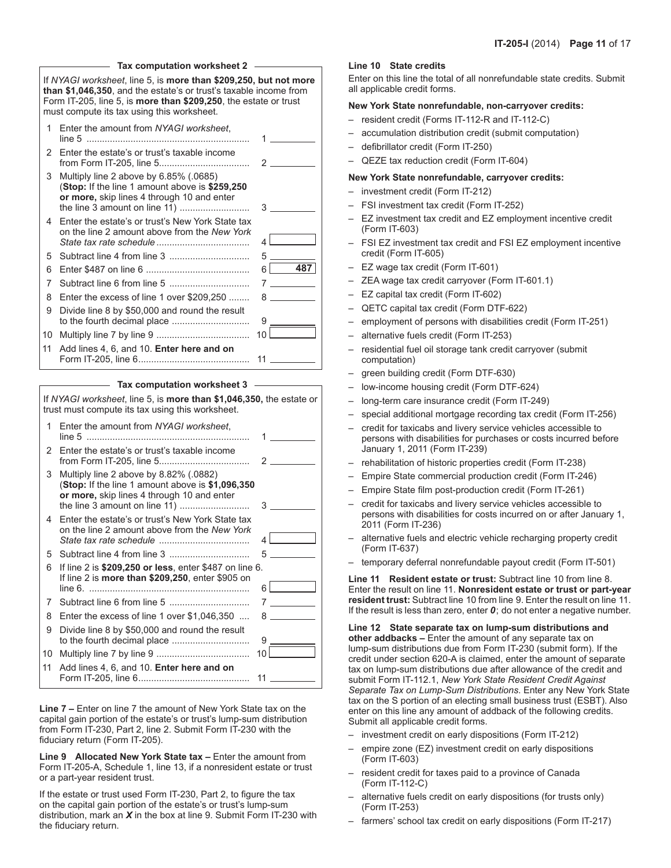|    | Tax computation worksheet 2                                                                                                                                                                                                                                     |           |  |  |  |  |  |  |
|----|-----------------------------------------------------------------------------------------------------------------------------------------------------------------------------------------------------------------------------------------------------------------|-----------|--|--|--|--|--|--|
|    | If NYAGI worksheet, line 5, is more than \$209,250, but not more<br>than \$1,046,350, and the estate's or trust's taxable income from<br>Form IT-205, line 5, is <b>more than \$209,250</b> , the estate or trust<br>must compute its tax using this worksheet. |           |  |  |  |  |  |  |
| 1  | Enter the amount from NYAGI worksheet.                                                                                                                                                                                                                          |           |  |  |  |  |  |  |
| 2  | Enter the estate's or trust's taxable income                                                                                                                                                                                                                    |           |  |  |  |  |  |  |
| 3  | Multiply line 2 above by 6.85% (.0685)<br>(Stop: If the line 1 amount above is \$259,250)<br>or more, skip lines 4 through 10 and enter                                                                                                                         | 3         |  |  |  |  |  |  |
| 4  | Enter the estate's or trust's New York State tax<br>on the line 2 amount above from the New York                                                                                                                                                                | 4         |  |  |  |  |  |  |
| 5  |                                                                                                                                                                                                                                                                 | 5         |  |  |  |  |  |  |
| 6  |                                                                                                                                                                                                                                                                 | 487<br>61 |  |  |  |  |  |  |
| 7  |                                                                                                                                                                                                                                                                 |           |  |  |  |  |  |  |
| 8  | Enter the excess of line 1 over \$209,250                                                                                                                                                                                                                       | 8 — 1     |  |  |  |  |  |  |
| 9  | Divide line 8 by \$50,000 and round the result<br>to the fourth decimal place                                                                                                                                                                                   | 9         |  |  |  |  |  |  |
| 10 |                                                                                                                                                                                                                                                                 | 10        |  |  |  |  |  |  |
| 11 | Add lines 4, 6, and 10. Enter here and on                                                                                                                                                                                                                       | 11        |  |  |  |  |  |  |
|    | Tax computation worksheet 3                                                                                                                                                                                                                                     |           |  |  |  |  |  |  |

If *NYAGI worksheet*, line 5, is **more than \$1,046,350,** the estate or trust must compute its tax using this worksheet. 1 Enter the amount from *NYAGI worksheet*, line 5 ............................................................... 1 2 Enter the estate's or trust's taxable income from Form IT-205, line 5................................... 2

- 3 Multiply line 2 above by 8.82% (.0882) (**Stop:** If the line 1 amount above is **\$1,096,350 or more,** skip lines 4 through 10 and enter the line 3 amount on line 11) ........................... 3 4 Enter the estate's or trust's New York State tax on the line 2 amount above from the *New York State tax rate schedule* ................................... 4 5 Subtract line 4 from line 3 ............................... 5 6 If line 2 is **\$209,250 or less**, enter \$487 on line 6. If line 2 is **more than \$209,250**, enter \$905 on line 6. .............................................................. 6 7 Subtract line 6 from line 5 ............................... 7 8 Enter the excess of line 1 over \$1,046,350 .... 8 9 Divide line 8 by \$50,000 and round the result to the fourth decimal place .............................. 9 10 Multiply line 7 by line 9 .................................... 10
- 11 Add lines 4, 6, and 10. **Enter here and on**  Form IT-205, line 6........................................... 11

**Line 7 –** Enter on line 7 the amount of New York State tax on the capital gain portion of the estate's or trust's lump-sum distribution from Form IT‑230, Part 2, line 2. Submit Form IT‑230 with the fiduciary return (Form IT‑205).

**Line 9 Allocated New York State tax –** Enter the amount from Form IT‑205‑A, Schedule 1, line 13, if a nonresident estate or trust or a part-year resident trust.

If the estate or trust used Form IT‑230, Part 2, to figure the tax on the capital gain portion of the estate's or trust's lump-sum distribution, mark an *X* in the box at line 9. Submit Form IT-230 with the fiduciary return.

### **Line 10 State credits**

Enter on this line the total of all nonrefundable state credits. Submit all applicable credit forms.

### **New York State nonrefundable, non-carryover credits:**

- resident credit (Forms IT-112-R and IT-112-C)
- accumulation distribution credit (submit computation)
- defibrillator credit (Form IT-250)
- QEZE tax reduction credit (Form IT-604)

### **New York State nonrefundable, carryover credits:**

- investment credit (Form IT-212)
- FSI investment tax credit (Form IT-252)
- EZ investment tax credit and EZ employment incentive credit (Form IT-603)
- FSI EZ investment tax credit and FSI EZ employment incentive credit (Form IT-605)
- – EZ wage tax credit (Form IT-601)
- ZEA wage tax credit carryover (Form IT-601.1)
- – EZ capital tax credit (Form IT‑602)
- QETC capital tax credit (Form DTF-622)
- employment of persons with disabilities credit (Form IT-251)
- alternative fuels credit (Form IT-253)
- residential fuel oil storage tank credit carryover (submit computation)
- green building credit (Form DTF-630)
- low-income housing credit (Form DTF-624)
- long-term care insurance credit (Form IT-249)
- special additional mortgage recording tax credit (Form IT-256)
- credit for taxicabs and livery service vehicles accessible to persons with disabilities for purchases or costs incurred before January 1, 2011 (Form IT-239)
- rehabilitation of historic properties credit (Form IT-238)
- Empire State commercial production credit (Form IT-246)
- Empire State film post-production credit (Form IT-261)
- credit for taxicabs and livery service vehicles accessible to persons with disabilities for costs incurred on or after January 1, 2011 (Form IT-236)
- alternative fuels and electric vehicle recharging property credit (Form IT-637)
- temporary deferral nonrefundable payout credit (Form IT-501)

**Line 11 Resident estate or trust:** Subtract line 10 from line 8. Enter the result on line 11. **Nonresident estate or trust or part-year resident trust:** Subtract line 10 from line 9. Enter the result on line 11. If the result is less than zero, enter *0*; do not enter a negative number.

**Line 12 State separate tax on lump-sum distributions and other addbacks –** Enter the amount of any separate tax on lump-sum distributions due from Form IT‑230 (submit form). If the credit under section 620‑A is claimed, enter the amount of separate tax on lump-sum distributions due after allowance of the credit and submit Form IT‑112.1, *New York State Resident Credit Against Separate Tax on Lump-Sum Distributions*. Enter any New York State tax on the S portion of an electing small business trust (ESBT). Also enter on this line any amount of addback of the following credits. Submit all applicable credit forms.

- investment credit on early dispositions (Form IT-212)
- empire zone (EZ) investment credit on early dispositions (Form IT-603)
- resident credit for taxes paid to a province of Canada (Form IT-112-C)
- alternative fuels credit on early dispositions (for trusts only) (Form IT-253)
- farmers' school tax credit on early dispositions (Form IT-217)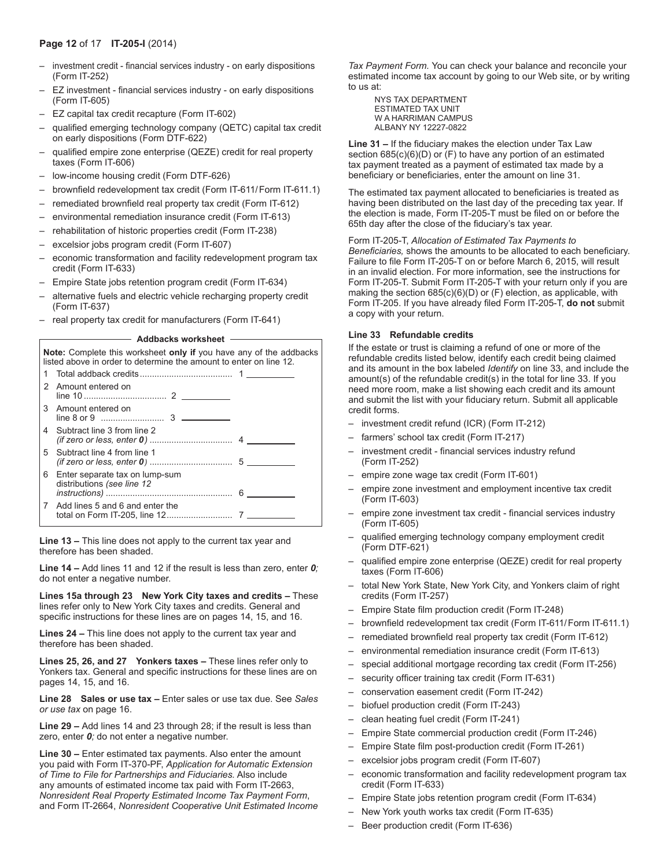### **Page 12** of 17 **IT-205-I** (2014)

- investment credit financial services industry on early dispositions (Form IT-252)
- EZ investment financial services industry on early dispositions (Form IT-605)
- – EZ capital tax credit recapture (Form IT-602)
- qualified emerging technology company (QETC) capital tax credit on early dispositions (Form DTF-622)
- qualified empire zone enterprise (QEZE) credit for real property taxes (Form IT-606)
- low-income housing credit (Form DTF-626)
- brownfield redevelopment tax credit (Form IT-611/Form IT-611.1)
- remediated brownfield real property tax credit (Form IT-612)
- environmental remediation insurance credit (Form IT-613)
- rehabilitation of historic properties credit (Form IT-238)
- excelsior jobs program credit (Form IT-607)
- economic transformation and facility redevelopment program tax credit (Form IT-633)
- Empire State jobs retention program credit (Form IT-634)
- alternative fuels and electric vehicle recharging property credit (Form IT-637)
- real property tax credit for manufacturers (Form IT-641)

#### **Addbacks worksheet**

**Note:** Complete this worksheet **only if** you have any of the addbacks listed above in order to determine the amount to enter on line 12.

|   |                                                              | $1 \quad \cdots \quad \cdots$ |
|---|--------------------------------------------------------------|-------------------------------|
|   | Amount entered on                                            |                               |
| 3 | Amount entered on                                            |                               |
| 4 | Subtract line 3 from line 2                                  |                               |
| 5 | Subtract line 4 from line 1                                  |                               |
| 6 | Enter separate tax on lump-sum<br>distributions (see line 12 |                               |
| 7 | Add lines 5 and 6 and enter the                              |                               |

**Line 13 –** This line does not apply to the current tax year and therefore has been shaded.

**Line 14 –** Add lines 11 and 12 if the result is less than zero, enter *0;* do not enter a negative number.

**Lines 15a through 23 New York City taxes and credits –** These lines refer only to New York City taxes and credits. General and specific instructions for these lines are on pages 14, 15, and 16.

**Lines 24 –** This line does not apply to the current tax year and therefore has been shaded.

**Lines 25, 26, and 27 Yonkers taxes –** These lines refer only to Yonkers tax. General and specific instructions for these lines are on pages 14, 15, and 16.

**Line 28 Sales or use tax –** Enter sales or use tax due. See *Sales or use tax* on page 16.

**Line 29 –** Add lines 14 and 23 through 28; if the result is less than zero, enter *0;* do not enter a negative number.

**Line 30 –** Enter estimated tax payments. Also enter the amount you paid with Form IT‑370‑PF, *Application for Automatic Extension of Time to File for Partnerships and Fiduciaries.* Also include any amounts of estimated income tax paid with Form IT-2663, *Nonresident Real Property Estimated Income Tax Payment Form*, and Form IT-2664, *Nonresident Cooperative Unit Estimated Income* 

*Tax Payment Form.* You can check your balance and reconcile your estimated income tax account by going to our Web site, or by writing to us at:

NYS TAX DEPARTMENT ESTIMATED TAX UNIT W A HARRIMAN CAMPUS ALBANY NY 12227-0822

**Line 31 –** If the fiduciary makes the election under Tax Law section 685(c)(6)(D) or (F) to have any portion of an estimated tax payment treated as a payment of estimated tax made by a beneficiary or beneficiaries, enter the amount on line 31.

The estimated tax payment allocated to beneficiaries is treated as having been distributed on the last day of the preceding tax year. If the election is made, Form IT‑205‑T must be filed on or before the 65th day after the close of the fiduciary's tax year.

Form IT‑205‑T, *Allocation of Estimated Tax Payments to Beneficiaries,* shows the amounts to be allocated to each beneficiary. Failure to file Form IT‑205‑T on or before March 6, 2015, will result in an invalid election. For more information, see the instructions for Form IT‑205‑T. Submit Form IT‑205‑T with your return only if you are making the section 685(c)(6)(D) or (F) election, as applicable, with Form IT‑205. If you have already filed Form IT‑205‑T, **do not** submit a copy with your return.

### **Line 33 Refundable credits**

If the estate or trust is claiming a refund of one or more of the refundable credits listed below, identify each credit being claimed and its amount in the box labeled *Identify* on line 33, and include the amount(s) of the refundable credit(s) in the total for line 33. If you need more room, make a list showing each credit and its amount and submit the list with your fiduciary return. Submit all applicable credit forms.

- – investment credit refund (ICR) (Form IT‑212)
- – farmers' school tax credit (Form IT-217)
- investment credit financial services industry refund (Form IT‑252)
- – empire zone wage tax credit (Form IT‑601)
- empire zone investment and employment incentive tax credit (Form IT-603)
- empire zone investment tax credit financial services industry (Form IT‑605)
- qualified emerging technology company employment credit (Form DTF-621)
- qualified empire zone enterprise (QEZE) credit for real property taxes (Form IT‑606)
- total New York State, New York City, and Yonkers claim of right credits (Form IT‑257)
- Empire State film production credit (Form IT-248)
- brownfield redevelopment tax credit (Form IT-611/Form IT-611.1)
- remediated brownfield real property tax credit (Form IT-612)
- environmental remediation insurance credit (Form IT-613)
- special additional mortgage recording tax credit (Form IT-256)
- security officer training tax credit (Form IT-631)
- conservation easement credit (Form IT-242)
- biofuel production credit (Form IT-243)
- clean heating fuel credit (Form IT-241)
- Empire State commercial production credit (Form IT-246)
- Empire State film post-production credit (Form IT-261)
- excelsior jobs program credit (Form IT-607)
- economic transformation and facility redevelopment program tax credit (Form IT-633)
- Empire State jobs retention program credit (Form IT-634)
- New York youth works tax credit (Form IT-635)
- Beer production credit (Form IT-636)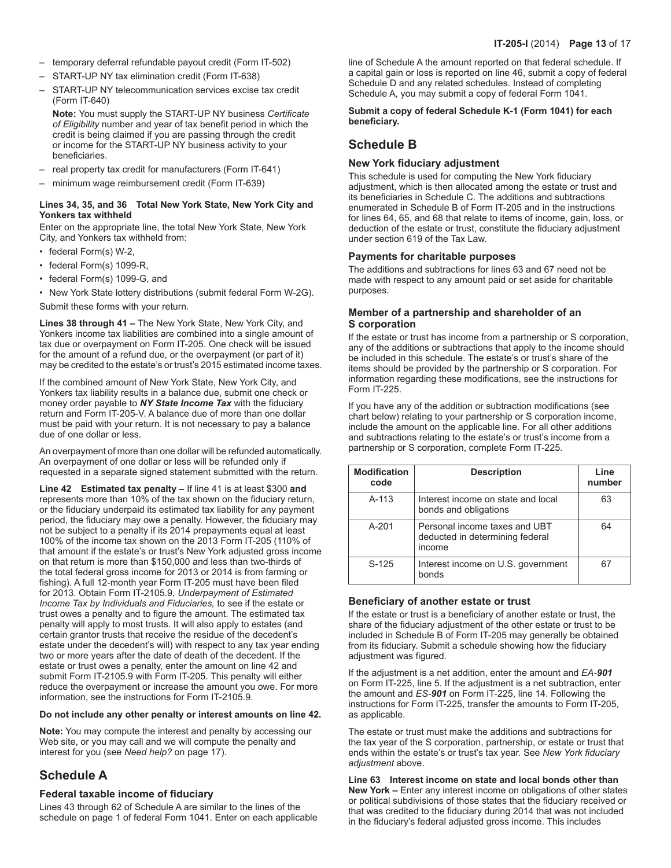- temporary deferral refundable payout credit (Form IT-502)
- – START-UP NY tax elimination credit (Form IT-638)
- START-UP NY telecommunication services excise tax credit (Form IT-640)

**Note:** You must supply the START-UP NY business *Certificate of Eligibility* number and year of tax benefit period in which the credit is being claimed if you are passing through the credit or income for the START-UP NY business activity to your beneficiaries.

- real property tax credit for manufacturers (Form IT-641)
- – minimum wage reimbursement credit (Form IT-639)

### **Lines 34, 35, and 36 Total New York State, New York City and Yonkers tax withheld**

Enter on the appropriate line, the total New York State, New York City, and Yonkers tax withheld from:

- federal Form(s) W-2,
- federal Form(s) 1099-R,
- federal Form(s) 1099-G, and
- New York State lottery distributions (submit federal Form W-2G).

Submit these forms with your return.

**Lines 38 through 41 –** The New York State, New York City, and Yonkers income tax liabilities are combined into a single amount of tax due or overpayment on Form IT‑205. One check will be issued for the amount of a refund due, or the overpayment (or part of it) may be credited to the estate's or trust's 2015 estimated income taxes.

If the combined amount of New York State, New York City, and Yonkers tax liability results in a balance due, submit one check or money order payable to *NY State Income Tax* with the fiduciary return and Form IT-205-V. A balance due of more than one dollar must be paid with your return. It is not necessary to pay a balance due of one dollar or less.

An overpayment of more than one dollar will be refunded automatically. An overpayment of one dollar or less will be refunded only if requested in a separate signed statement submitted with the return.

**Line 42 Estimated tax penalty –** If line 41 is at least \$300 **and** represents more than 10% of the tax shown on the fiduciary return, or the fiduciary underpaid its estimated tax liability for any payment period, the fiduciary may owe a penalty. However, the fiduciary may not be subject to a penalty if its 2014 prepayments equal at least 100% of the income tax shown on the 2013 Form IT-205 (110% of that amount if the estate's or trust's New York adjusted gross income on that return is more than \$150,000 and less than two-thirds of the total federal gross income for 2013 or 2014 is from farming or fishing). A full 12-month year Form IT-205 must have been filed for 2013. Obtain Form IT‑2105.9, *Underpayment of Estimated Income Tax by Individuals and Fiduciaries,* to see if the estate or trust owes a penalty and to figure the amount. The estimated tax penalty will apply to most trusts. It will also apply to estates (and certain grantor trusts that receive the residue of the decedent's estate under the decedent's will) with respect to any tax year ending two or more years after the date of death of the decedent. If the estate or trust owes a penalty, enter the amount on line 42 and submit Form IT‑2105.9 with Form IT‑205. This penalty will either reduce the overpayment or increase the amount you owe. For more information, see the instructions for Form IT‑2105.9.

#### **Do not include any other penalty or interest amounts on line 42.**

**Note:** You may compute the interest and penalty by accessing our Web site, or you may call and we will compute the penalty and interest for you (see *Need help?* on page 17).

# **Schedule A**

### **Federal taxable income of fiduciary**

Lines 43 through 62 of Schedule A are similar to the lines of the schedule on page 1 of federal Form 1041. Enter on each applicable line of Schedule A the amount reported on that federal schedule. If a capital gain or loss is reported on line 46, submit a copy of federal Schedule D and any related schedules. Instead of completing Schedule A, you may submit a copy of federal Form 1041.

**Submit a copy of federal Schedule K‑1 (Form 1041) for each beneficiary.**

# **Schedule B**

### **New York fiduciary adjustment**

This schedule is used for computing the New York fiduciary adjustment, which is then allocated among the estate or trust and its beneficiaries in Schedule C. The additions and subtractions enumerated in Schedule B of Form IT‑205 and in the instructions for lines 64, 65, and 68 that relate to items of income, gain, loss, or deduction of the estate or trust, constitute the fiduciary adjustment under section 619 of the Tax Law.

### **Payments for charitable purposes**

The additions and subtractions for lines 63 and 67 need not be made with respect to any amount paid or set aside for charitable purposes.

### **Member of a partnership and shareholder of an S corporation**

If the estate or trust has income from a partnership or S corporation, any of the additions or subtractions that apply to the income should be included in this schedule. The estate's or trust's share of the items should be provided by the partnership or S corporation. For information regarding these modifications, see the instructions for Form IT-225.

If you have any of the addition or subtraction modifications (see chart below) relating to your partnership or S corporation income, include the amount on the applicable line. For all other additions and subtractions relating to the estate's or trust's income from a partnership or S corporation, complete Form IT-225.

| <b>Modification</b><br>code | <b>Description</b>                                                         | Line<br>number |
|-----------------------------|----------------------------------------------------------------------------|----------------|
| A-113                       | Interest income on state and local<br>bonds and obligations                | 63             |
| $A - 201$                   | Personal income taxes and UBT<br>deducted in determining federal<br>income | 64             |
| $S-125$                     | Interest income on U.S. government<br>bonds                                | 67             |

### **Beneficiary of another estate or trust**

If the estate or trust is a beneficiary of another estate or trust, the share of the fiduciary adjustment of the other estate or trust to be included in Schedule B of Form IT‑205 may generally be obtained from its fiduciary. Submit a schedule showing how the fiduciary adjustment was figured.

If the adjustment is a net addition, enter the amount and *EA-901* on Form IT-225, line 5. If the adjustment is a net subtraction, enter the amount and *ES-901* on Form IT-225, line 14. Following the instructions for Form IT-225, transfer the amounts to Form IT-205, as applicable.

The estate or trust must make the additions and subtractions for the tax year of the S corporation, partnership, or estate or trust that ends within the estate's or trust's tax year. See *New York fiduciary adjustment* above.

**Line 63 Interest income on state and local bonds other than New York –** Enter any interest income on obligations of other states or political subdivisions of those states that the fiduciary received or that was credited to the fiduciary during 2014 that was not included in the fiduciary's federal adjusted gross income. This includes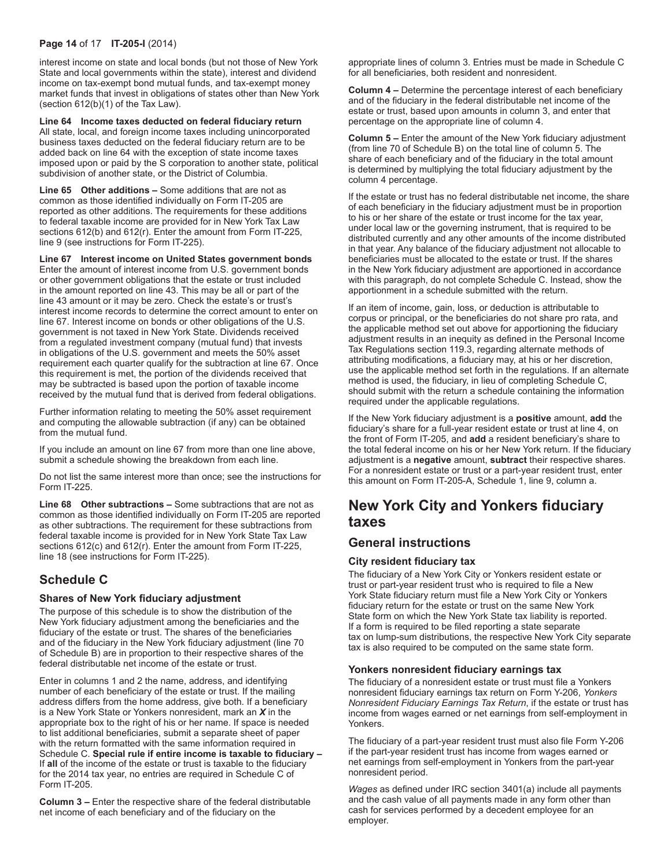### **Page 14** of 17 **IT-205-I** (2014)

interest income on state and local bonds (but not those of New York State and local governments within the state), interest and dividend income on tax-exempt bond mutual funds, and tax-exempt money market funds that invest in obligations of states other than New York (section 612(b)(1) of the Tax Law).

**Line 64 Income taxes deducted on federal fiduciary return**  All state, local, and foreign income taxes including unincorporated business taxes deducted on the federal fiduciary return are to be added back on line 64 with the exception of state income taxes imposed upon or paid by the S corporation to another state, political subdivision of another state, or the District of Columbia.

**Line 65 Other additions –** Some additions that are not as common as those identified individually on Form IT‑205 are reported as other additions. The requirements for these additions to federal taxable income are provided for in New York Tax Law sections 612(b) and 612(r). Enter the amount from Form IT-225, line 9 (see instructions for Form IT-225).

**Line 67 Interest income on United States government bonds**  Enter the amount of interest income from U.S. government bonds or other government obligations that the estate or trust included in the amount reported on line 43. This may be all or part of the line 43 amount or it may be zero. Check the estate's or trust's interest income records to determine the correct amount to enter on line 67. Interest income on bonds or other obligations of the U.S. government is not taxed in New York State. Dividends received from a regulated investment company (mutual fund) that invests in obligations of the U.S. government and meets the 50% asset requirement each quarter qualify for the subtraction at line 67. Once this requirement is met, the portion of the dividends received that may be subtracted is based upon the portion of taxable income received by the mutual fund that is derived from federal obligations.

Further information relating to meeting the 50% asset requirement and computing the allowable subtraction (if any) can be obtained from the mutual fund.

If you include an amount on line 67 from more than one line above, submit a schedule showing the breakdown from each line.

Do not list the same interest more than once; see the instructions for Form IT-225.

**Line 68 Other subtractions –** Some subtractions that are not as common as those identified individually on Form IT-205 are reported as other subtractions. The requirement for these subtractions from federal taxable income is provided for in New York State Tax Law sections 612(c) and 612(r). Enter the amount from Form IT-225, line 18 (see instructions for Form IT-225).

# **Schedule C**

### **Shares of New York fiduciary adjustment**

The purpose of this schedule is to show the distribution of the New York fiduciary adjustment among the beneficiaries and the fiduciary of the estate or trust. The shares of the beneficiaries and of the fiduciary in the New York fiduciary adjustment (line 70 of Schedule B) are in proportion to their respective shares of the federal distributable net income of the estate or trust.

Enter in columns 1 and 2 the name, address, and identifying number of each beneficiary of the estate or trust. If the mailing address differs from the home address, give both. If a beneficiary is a New York State or Yonkers nonresident, mark an *X* in the appropriate box to the right of his or her name. If space is needed to list additional beneficiaries, submit a separate sheet of paper with the return formatted with the same information required in Schedule C. **Special rule if entire income is taxable to fiduciary –** If **all** of the income of the estate or trust is taxable to the fiduciary for the 2014 tax year, no entries are required in Schedule C of Form IT‑205.

**Column 3 –** Enter the respective share of the federal distributable net income of each beneficiary and of the fiduciary on the

appropriate lines of column 3. Entries must be made in Schedule C for all beneficiaries, both resident and nonresident.

**Column 4 –** Determine the percentage interest of each beneficiary and of the fiduciary in the federal distributable net income of the estate or trust, based upon amounts in column 3, and enter that percentage on the appropriate line of column 4.

**Column 5 –** Enter the amount of the New York fiduciary adjustment (from line 70 of Schedule B) on the total line of column 5. The share of each beneficiary and of the fiduciary in the total amount is determined by multiplying the total fiduciary adjustment by the column 4 percentage.

If the estate or trust has no federal distributable net income, the share of each beneficiary in the fiduciary adjustment must be in proportion to his or her share of the estate or trust income for the tax year, under local law or the governing instrument, that is required to be distributed currently and any other amounts of the income distributed in that year. Any balance of the fiduciary adjustment not allocable to beneficiaries must be allocated to the estate or trust. If the shares in the New York fiduciary adjustment are apportioned in accordance with this paragraph, do not complete Schedule C. Instead, show the apportionment in a schedule submitted with the return.

If an item of income, gain, loss, or deduction is attributable to corpus or principal, or the beneficiaries do not share pro rata, and the applicable method set out above for apportioning the fiduciary adjustment results in an inequity as defined in the Personal Income Tax Regulations section 119.3, regarding alternate methods of attributing modifications, a fiduciary may, at his or her discretion, use the applicable method set forth in the regulations. If an alternate method is used, the fiduciary, in lieu of completing Schedule C, should submit with the return a schedule containing the information required under the applicable regulations.

If the New York fiduciary adjustment is a **positive** amount, **add** the fiduciary's share for a full-year resident estate or trust at line 4, on the front of Form IT‑205, and **add** a resident beneficiary's share to the total federal income on his or her New York return. If the fiduciary adjustment is a **negative** amount, **subtract** their respective shares. For a nonresident estate or trust or a part-year resident trust, enter this amount on Form IT‑205‑A, Schedule 1, line 9, column a.

# **New York City and Yonkers fiduciary taxes**

# **General instructions**

### **City resident fiduciary tax**

The fiduciary of a New York City or Yonkers resident estate or trust or part-year resident trust who is required to file a New York State fiduciary return must file a New York City or Yonkers fiduciary return for the estate or trust on the same New York State form on which the New York State tax liability is reported. If a form is required to be filed reporting a state separate tax on lump-sum distributions, the respective New York City separate tax is also required to be computed on the same state form.

### **Yonkers nonresident fiduciary earnings tax**

The fiduciary of a nonresident estate or trust must file a Yonkers nonresident fiduciary earnings tax return on Form Y‑206, *Yonkers Nonresident Fiduciary Earnings Tax Return*, if the estate or trust has income from wages earned or net earnings from self-employment in Yonkers.

The fiduciary of a part-year resident trust must also file Form Y‑206 if the part-year resident trust has income from wages earned or net earnings from self-employment in Yonkers from the part-year nonresident period.

*Wages* as defined under IRC section 3401(a) include all payments and the cash value of all payments made in any form other than cash for services performed by a decedent employee for an employer.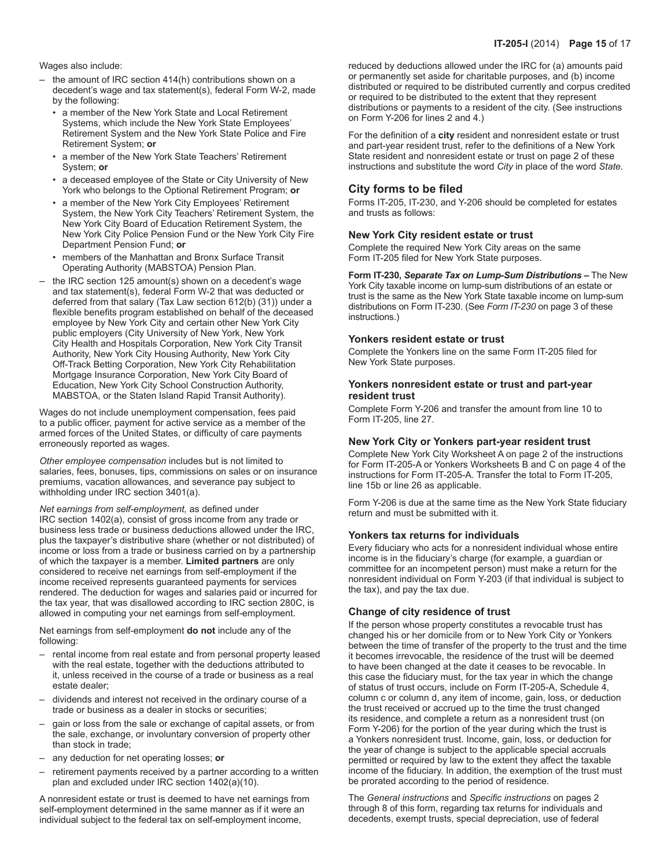Wages also include:

- the amount of IRC section  $414(h)$  contributions shown on a decedent's wage and tax statement(s), federal Form W‑2, made by the following:
	- a member of the New York State and Local Retirement Systems, which include the New York State Employees' Retirement System and the New York State Police and Fire Retirement System; **or**
	- a member of the New York State Teachers' Retirement System; **or**
	- a deceased employee of the State or City University of New York who belongs to the Optional Retirement Program; **or**
	- a member of the New York City Employees' Retirement System, the New York City Teachers' Retirement System, the New York City Board of Education Retirement System, the New York City Police Pension Fund or the New York City Fire Department Pension Fund; **or**
	- members of the Manhattan and Bronx Surface Transit Operating Authority (MABSTOA) Pension Plan.
- $-$  the IRC section 125 amount(s) shown on a decedent's wage and tax statement(s), federal Form W‑2 that was deducted or deferred from that salary (Tax Law section 612(b) (31)) under a flexible benefits program established on behalf of the deceased employee by New York City and certain other New York City public employers (City University of New York, New York City Health and Hospitals Corporation, New York City Transit Authority, New York City Housing Authority, New York City Off-Track Betting Corporation, New York City Rehabilitation Mortgage Insurance Corporation, New York City Board of Education, New York City School Construction Authority, MABSTOA, or the Staten Island Rapid Transit Authority).

Wages do not include unemployment compensation, fees paid to a public officer, payment for active service as a member of the armed forces of the United States, or difficulty of care payments erroneously reported as wages.

*Other employee compensation* includes but is not limited to salaries, fees, bonuses, tips, commissions on sales or on insurance premiums, vacation allowances, and severance pay subject to withholding under IRC section 3401(a).

*Net earnings from self-employment,* as defined under IRC section 1402(a), consist of gross income from any trade or business less trade or business deductions allowed under the IRC, plus the taxpayer's distributive share (whether or not distributed) of income or loss from a trade or business carried on by a partnership of which the taxpayer is a member. **Limited partners** are only considered to receive net earnings from self-employment if the income received represents guaranteed payments for services rendered. The deduction for wages and salaries paid or incurred for the tax year, that was disallowed according to IRC section 280C, is allowed in computing your net earnings from self-employment.

Net earnings from self-employment **do not** include any of the following:

- rental income from real estate and from personal property leased with the real estate, together with the deductions attributed to it, unless received in the course of a trade or business as a real estate dealer;
- dividends and interest not received in the ordinary course of a trade or business as a dealer in stocks or securities;
- gain or loss from the sale or exchange of capital assets, or from the sale, exchange, or involuntary conversion of property other than stock in trade;
- – any deduction for net operating losses; **or**
- retirement payments received by a partner according to a written plan and excluded under IRC section 1402(a)(10).

A nonresident estate or trust is deemed to have net earnings from self-employment determined in the same manner as if it were an individual subject to the federal tax on self-employment income,

reduced by deductions allowed under the IRC for (a) amounts paid or permanently set aside for charitable purposes, and (b) income distributed or required to be distributed currently and corpus credited or required to be distributed to the extent that they represent distributions or payments to a resident of the city. (See instructions on Form Y‑206 for lines 2 and 4.)

For the definition of a **city** resident and nonresident estate or trust and part-year resident trust, refer to the definitions of a New York State resident and nonresident estate or trust on page 2 of these instructions and substitute the word *City* in place of the word *State.*

### **City forms to be filed**

Forms IT-205, IT-230, and Y‑206 should be completed for estates and trusts as follows:

### **New York City resident estate or trust**

Complete the required New York City areas on the same Form IT‑205 filed for New York State purposes.

**Form IT‑230,** *Separate Tax on Lump-Sum Distributions* **–** The New York City taxable income on lump-sum distributions of an estate or trust is the same as the New York State taxable income on lump-sum distributions on Form IT‑230. (See *Form IT‑230* on page 3 of these instructions.)

### **Yonkers resident estate or trust**

Complete the Yonkers line on the same Form IT‑205 filed for New York State purposes.

### **Yonkers nonresident estate or trust and part‑year resident trust**

Complete Form Y‑206 and transfer the amount from line 10 to Form IT‑205, line 27.

### **New York City or Yonkers part-year resident trust**

Complete New York City Worksheet A on page 2 of the instructions for Form IT‑205‑A or Yonkers Worksheets B and C on page 4 of the instructions for Form IT‑205‑A. Transfer the total to Form IT‑205, line 15b or line 26 as applicable.

Form Y-206 is due at the same time as the New York State fiduciary return and must be submitted with it.

#### **Yonkers tax returns for individuals**

Every fiduciary who acts for a nonresident individual whose entire income is in the fiduciary's charge (for example, a guardian or committee for an incompetent person) must make a return for the nonresident individual on Form Y‑203 (if that individual is subject to the tax), and pay the tax due.

### **Change of city residence of trust**

If the person whose property constitutes a revocable trust has changed his or her domicile from or to New York City or Yonkers between the time of transfer of the property to the trust and the time it becomes irrevocable, the residence of the trust will be deemed to have been changed at the date it ceases to be revocable. In this case the fiduciary must, for the tax year in which the change of status of trust occurs, include on Form IT‑205‑A, Schedule 4, column c or column d, any item of income, gain, loss, or deduction the trust received or accrued up to the time the trust changed its residence, and complete a return as a nonresident trust (on Form Y‑206) for the portion of the year during which the trust is a Yonkers nonresident trust. Income, gain, loss, or deduction for the year of change is subject to the applicable special accruals permitted or required by law to the extent they affect the taxable income of the fiduciary. In addition, the exemption of the trust must be prorated according to the period of residence.

The *General instructions* and *Specific instructions* on pages 2 through 8 of this form, regarding tax returns for individuals and decedents, exempt trusts, special depreciation, use of federal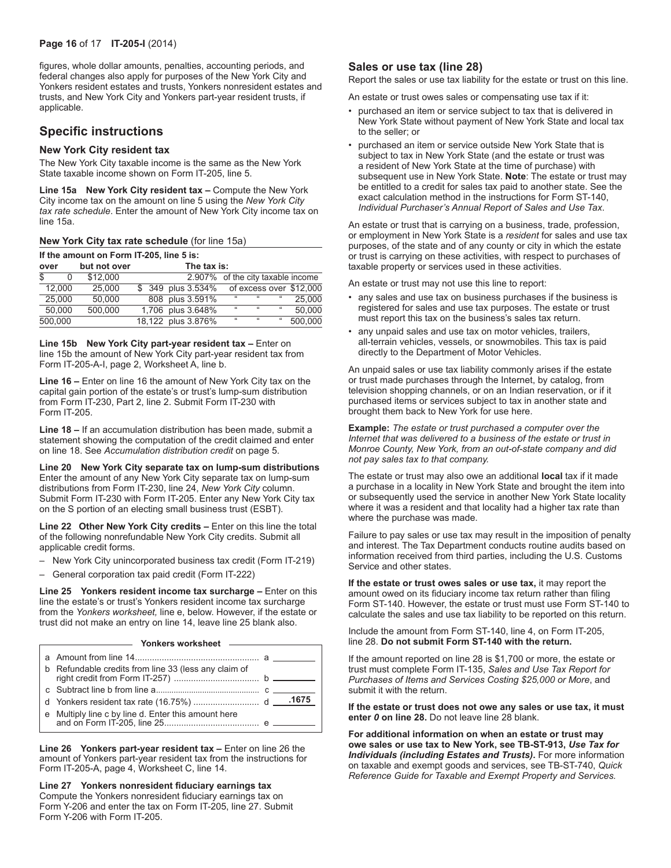### **Page 16** of 17 **IT-205-I** (2014)

figures, whole dollar amounts, penalties, accounting periods, and federal changes also apply for purposes of the New York City and Yonkers resident estates and trusts, Yonkers nonresident estates and trusts, and New York City and Yonkers part-year resident trusts, if applicable.

# **Specific instructions**

### **New York City resident tax**

The New York City taxable income is the same as the New York State taxable income shown on Form IT‑205, line 5.

**Line 15a New York City resident tax –** Compute the New York City income tax on the amount on line 5 using the *New York City tax rate schedule*. Enter the amount of New York City income tax on line 15a.

**New York City tax rate schedule** (for line 15a)

**If the amount on Form IT-205, line 5 is:**

| over |         | but not over |  | The tax is:                       |            |            |            |                         |
|------|---------|--------------|--|-----------------------------------|------------|------------|------------|-------------------------|
| \$   | 0       | \$12,000     |  | 2.907% of the city taxable income |            |            |            |                         |
|      | 12.000  | 25.000       |  | \$349 plus 3.534%                 |            |            |            | of excess over \$12,000 |
|      | 25.000  | 50.000       |  | 808 plus 3.591%                   | $\epsilon$ | $^{12}$    | $\epsilon$ | 25,000                  |
|      | 50.000  | 500.000      |  | 1,706 plus 3.648%                 | $\epsilon$ | $\alpha$   | 66         | 50.000                  |
|      | 500.000 |              |  | 18,122 plus 3.876%                | $\epsilon$ | $\epsilon$ | $^{16}$    | 500.000                 |

**Line 15b New York City part-year resident tax –** Enter on line 15b the amount of New York City part-year resident tax from Form IT‑205‑A‑I, page 2, Worksheet A, line b.

**Line 16 –** Enter on line 16 the amount of New York City tax on the capital gain portion of the estate's or trust's lump-sum distribution from Form IT‑230, Part 2, line 2. Submit Form IT‑230 with Form IT-205.

**Line 18 –** If an accumulation distribution has been made, submit a statement showing the computation of the credit claimed and enter on line 18. See *Accumulation distribution credit* on page 5.

**Line 20 New York City separate tax on lump-sum distributions**  Enter the amount of any New York City separate tax on lump-sum distributions from Form IT‑230, line 24, *New York City* column. Submit Form IT‑230 with Form IT‑205. Enter any New York City tax on the S portion of an electing small business trust (ESBT).

**Line 22 Other New York City credits –** Enter on this line the total of the following nonrefundable New York City credits. Submit all applicable credit forms.

- New York City unincorporated business tax credit (Form IT-219)
- – General corporation tax paid credit (Form IT-222)

**Line 25 Yonkers resident income tax surcharge –** Enter on this line the estate's or trust's Yonkers resident income tax surcharge from the *Yonkers worksheet,* line e, below. However, if the estate or trust did not make an entry on line 14, leave line 25 blank also.

#### **Yonkers worksheet**

| b Refundable credits from line 33 (less any claim of |  |
|------------------------------------------------------|--|
|                                                      |  |
|                                                      |  |
| e Multiply line c by line d. Enter this amount here  |  |

**Line 26 Yonkers part-year resident tax –** Enter on line 26 the amount of Yonkers part-year resident tax from the instructions for Form IT-205-A, page 4, Worksheet C, line 14.

**Line 27 Yonkers nonresident fiduciary earnings tax**  Compute the Yonkers nonresident fiduciary earnings tax on Form Y‑206 and enter the tax on Form IT-205, line 27. Submit Form Y‑206 with Form IT‑205.

### **Sales or use tax (line 28)**

Report the sales or use tax liability for the estate or trust on this line.

An estate or trust owes sales or compensating use tax if it:

- purchased an item or service subject to tax that is delivered in New York State without payment of New York State and local tax to the seller; or
- purchased an item or service outside New York State that is subject to tax in New York State (and the estate or trust was a resident of New York State at the time of purchase) with subsequent use in New York State. **Note**: The estate or trust may be entitled to a credit for sales tax paid to another state. See the exact calculation method in the instructions for Form ST-140, *Individual Purchaser's Annual Report of Sales and Use Tax*.

An estate or trust that is carrying on a business, trade, profession, or employment in New York State is a *resident* for sales and use tax purposes, of the state and of any county or city in which the estate or trust is carrying on these activities, with respect to purchases of taxable property or services used in these activities.

An estate or trust may not use this line to report:

- any sales and use tax on business purchases if the business is registered for sales and use tax purposes. The estate or trust must report this tax on the business's sales tax return.
- any unpaid sales and use tax on motor vehicles, trailers, all-terrain vehicles, vessels, or snowmobiles. This tax is paid directly to the Department of Motor Vehicles.

An unpaid sales or use tax liability commonly arises if the estate or trust made purchases through the Internet, by catalog, from television shopping channels, or on an Indian reservation, or if it purchased items or services subject to tax in another state and brought them back to New York for use here.

**Example:** *The estate or trust purchased a computer over the Internet that was delivered to a business of the estate or trust in Monroe County, New York, from an out-of-state company and did not pay sales tax to that company.*

The estate or trust may also owe an additional **local** tax if it made a purchase in a locality in New York State and brought the item into or subsequently used the service in another New York State locality where it was a resident and that locality had a higher tax rate than where the purchase was made.

Failure to pay sales or use tax may result in the imposition of penalty and interest. The Tax Department conducts routine audits based on information received from third parties, including the U.S. Customs Service and other states.

**If the estate or trust owes sales or use tax,** it may report the amount owed on its fiduciary income tax return rather than filing Form ST-140. However, the estate or trust must use Form ST-140 to calculate the sales and use tax liability to be reported on this return.

Include the amount from Form ST-140, line 4, on Form IT-205, line 28. **Do not submit Form ST-140 with the return.** 

If the amount reported on line 28 is \$1,700 or more, the estate or trust must complete Form IT-135, *Sales and Use Tax Report for Purchases of Items and Services Costing \$25,000 or More*, and submit it with the return.

**If the estate or trust does not owe any sales or use tax, it must enter** *0* **on line 28.** Do not leave line 28 blank.

**For additional information on when an estate or trust may owe sales or use tax to New York, see TB-ST-913,** *Use Tax for Individuals (including Estates and Trusts)***.** For more information on taxable and exempt goods and services, see TB-ST-740, *Quick Reference Guide for Taxable and Exempt Property and Services.*